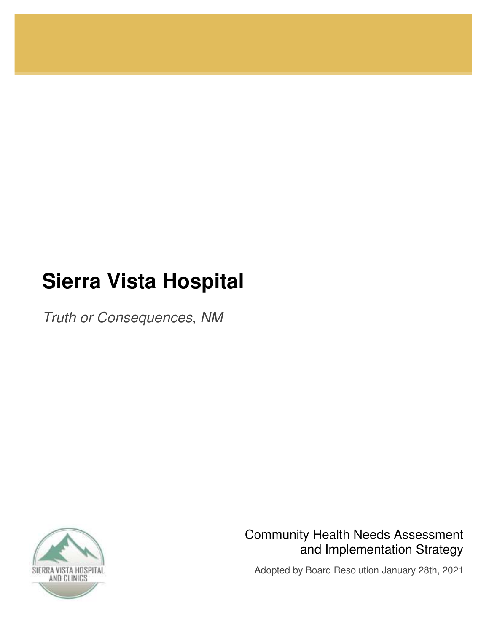# **Sierra Vista Hospital**

*Truth or Consequences, NM* 



Community Health Needs Assessment and Implementation Strategy

Adopted by Board Resolution January 28th, 2021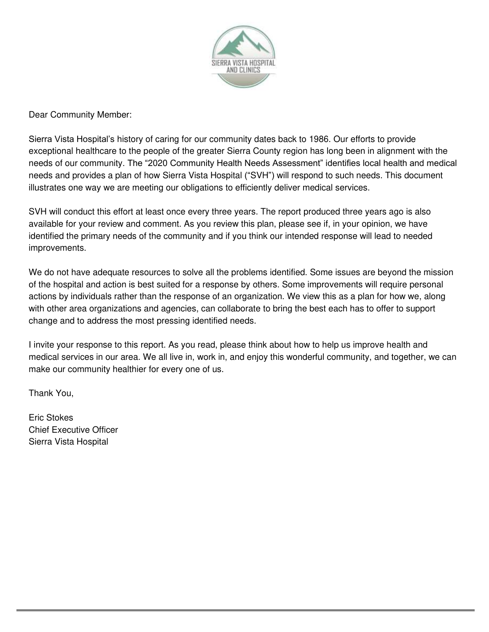

Dear Community Member:

Sierra Vista Hospital's history of caring for our community dates back to 1986. Our efforts to provide exceptional healthcare to the people of the greater Sierra County region has long been in alignment with the needs of our community. The "2020 Community Health Needs Assessment" identifies local health and medical needs and provides a plan of how Sierra Vista Hospital ("SVH") will respond to such needs. This document illustrates one way we are meeting our obligations to efficiently deliver medical services.

SVH will conduct this effort at least once every three years. The report produced three years ago is also available for your review and comment. As you review this plan, please see if, in your opinion, we have identified the primary needs of the community and if you think our intended response will lead to needed improvements.

We do not have adequate resources to solve all the problems identified. Some issues are beyond the mission of the hospital and action is best suited for a response by others. Some improvements will require personal actions by individuals rather than the response of an organization. We view this as a plan for how we, along with other area organizations and agencies, can collaborate to bring the best each has to offer to support change and to address the most pressing identified needs.

I invite your response to this report. As you read, please think about how to help us improve health and medical services in our area. We all live in, work in, and enjoy this wonderful community, and together, we can make our community healthier for every one of us.

Thank You,

Eric Stokes Chief Executive Officer Sierra Vista Hospital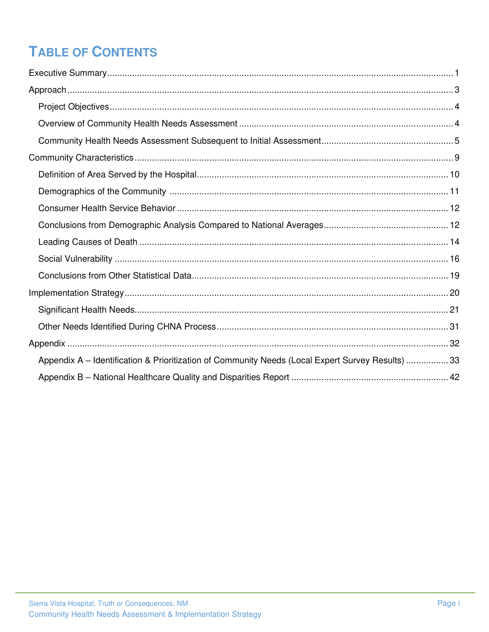## **TABLE OF CONTENTS**

| Appendix A – Identification & Prioritization of Community Needs (Local Expert Survey Results)  33 |  |
|---------------------------------------------------------------------------------------------------|--|
|                                                                                                   |  |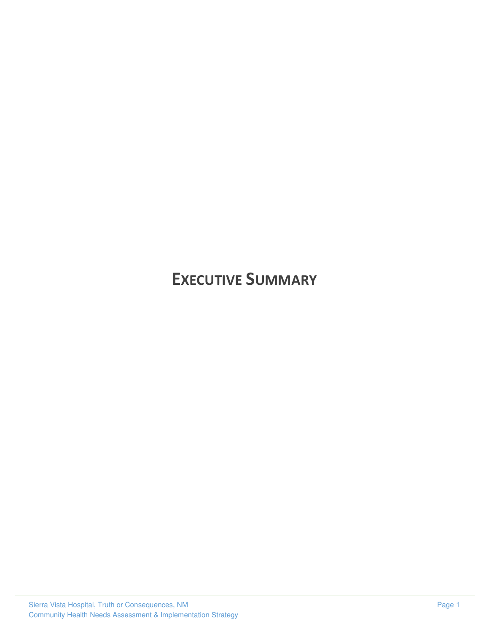## <span id="page-3-0"></span>**EXECUTIVE SUMMARY**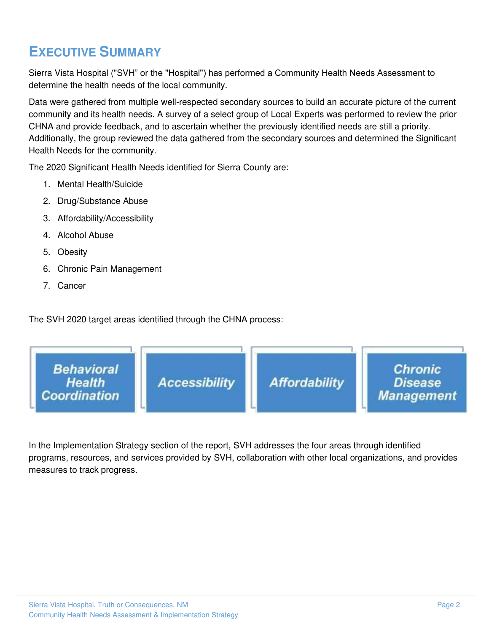## **EXECUTIVE SUMMARY**

Sierra Vista Hospital ("SVH" or the "Hospital") has performed a Community Health Needs Assessment to determine the health needs of the local community.

Data were gathered from multiple well-respected secondary sources to build an accurate picture of the current community and its health needs. A survey of a select group of Local Experts was performed to review the prior CHNA and provide feedback, and to ascertain whether the previously identified needs are still a priority. Additionally, the group reviewed the data gathered from the secondary sources and determined the Significant Health Needs for the community.

The 2020 Significant Health Needs identified for Sierra County are:

- 1. Mental Health/Suicide
- 2. Drug/Substance Abuse
- 3. Affordability/Accessibility
- 4. Alcohol Abuse
- 5. Obesity
- 6. Chronic Pain Management
- 7. Cancer

The SVH 2020 target areas identified through the CHNA process:



In the Implementation Strategy section of the report, SVH addresses the four areas through identified programs, resources, and services provided by SVH, collaboration with other local organizations, and provides measures to track progress.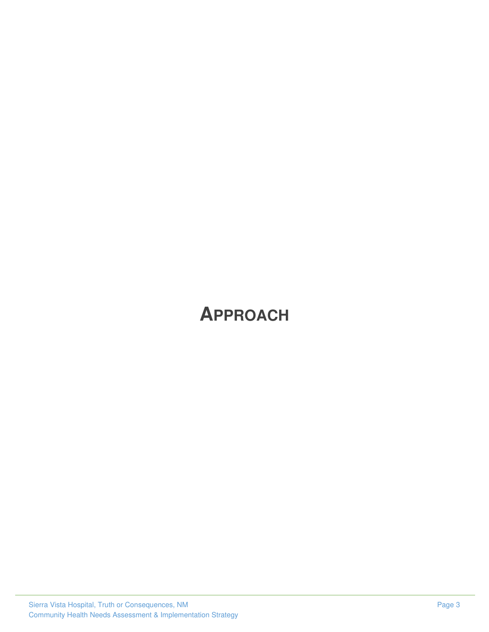# <span id="page-5-0"></span>**APPROACH**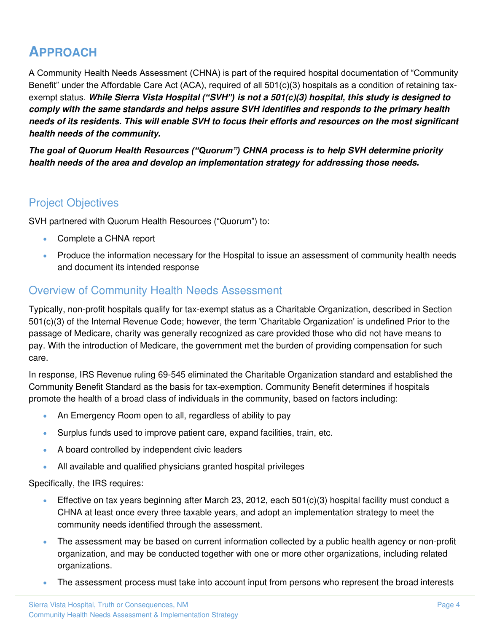## **APPROACH**

A Community Health Needs Assessment (CHNA) is part of the required hospital documentation of "Community Benefit" under the Affordable Care Act (ACA), required of all 501(c)(3) hospitals as a condition of retaining taxexempt status. *While Sierra Vista Hospital ("SVH") is not a 501(c)(3) hospital, this study is designed to comply with the same standards and helps assure SVH identifies and responds to the primary health needs of its residents. This will enable SVH to focus their efforts and resources on the most significant health needs of the community.* 

*The goal of Quorum Health Resources ("Quorum") CHNA process is to help SVH determine priority health needs of the area and develop an implementation strategy for addressing those needs.*

### <span id="page-6-0"></span>Project Objectives

SVH partnered with Quorum Health Resources ("Quorum") to:

- Complete a CHNA report
- Produce the information necessary for the Hospital to issue an assessment of community health needs and document its intended response

### <span id="page-6-1"></span>Overview of Community Health Needs Assessment

Typically, non-profit hospitals qualify for tax-exempt status as a Charitable Organization, described in Section 501(c)(3) of the Internal Revenue Code; however, the term 'Charitable Organization' is undefined Prior to the passage of Medicare, charity was generally recognized as care provided those who did not have means to pay. With the introduction of Medicare, the government met the burden of providing compensation for such care.

In response, IRS Revenue ruling 69-545 eliminated the Charitable Organization standard and established the Community Benefit Standard as the basis for tax-exemption. Community Benefit determines if hospitals promote the health of a broad class of individuals in the community, based on factors including:

- An Emergency Room open to all, regardless of ability to pay
- Surplus funds used to improve patient care, expand facilities, train, etc.
- A board controlled by independent civic leaders
- All available and qualified physicians granted hospital privileges

Specifically, the IRS requires:

- Effective on tax years beginning after March 23, 2012, each 501(c)(3) hospital facility must conduct a CHNA at least once every three taxable years, and adopt an implementation strategy to meet the community needs identified through the assessment.
- The assessment may be based on current information collected by a public health agency or non-profit organization, and may be conducted together with one or more other organizations, including related organizations.
- The assessment process must take into account input from persons who represent the broad interests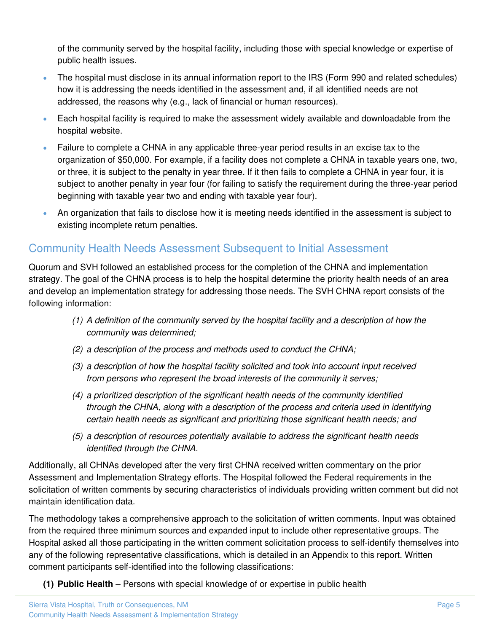of the community served by the hospital facility, including those with special knowledge or expertise of public health issues.

- The hospital must disclose in its annual information report to the IRS (Form 990 and related schedules) how it is addressing the needs identified in the assessment and, if all identified needs are not addressed, the reasons why (e.g., lack of financial or human resources).
- Each hospital facility is required to make the assessment widely available and downloadable from the hospital website.
- Failure to complete a CHNA in any applicable three-year period results in an excise tax to the organization of \$50,000. For example, if a facility does not complete a CHNA in taxable years one, two, or three, it is subject to the penalty in year three. If it then fails to complete a CHNA in year four, it is subject to another penalty in year four (for failing to satisfy the requirement during the three-year period beginning with taxable year two and ending with taxable year four).
- An organization that fails to disclose how it is meeting needs identified in the assessment is subject to existing incomplete return penalties.

### <span id="page-7-0"></span>Community Health Needs Assessment Subsequent to Initial Assessment

Quorum and SVH followed an established process for the completion of the CHNA and implementation strategy. The goal of the CHNA process is to help the hospital determine the priority health needs of an area and develop an implementation strategy for addressing those needs. The SVH CHNA report consists of the following information:

- *(1) A definition of the community served by the hospital facility and a description of how the community was determined;*
- *(2) a description of the process and methods used to conduct the CHNA;*
- *(3) a description of how the hospital facility solicited and took into account input received from persons who represent the broad interests of the community it serves;*
- *(4) a prioritized description of the significant health needs of the community identified through the CHNA, along with a description of the process and criteria used in identifying certain health needs as significant and prioritizing those significant health needs; and*
- *(5) a description of resources potentially available to address the significant health needs identified through the CHNA.*

Additionally, all CHNAs developed after the very first CHNA received written commentary on the prior Assessment and Implementation Strategy efforts. The Hospital followed the Federal requirements in the solicitation of written comments by securing characteristics of individuals providing written comment but did not maintain identification data.

The methodology takes a comprehensive approach to the solicitation of written comments. Input was obtained from the required three minimum sources and expanded input to include other representative groups. The Hospital asked all those participating in the written comment solicitation process to self-identify themselves into any of the following representative classifications, which is detailed in an Appendix to this report. Written comment participants self-identified into the following classifications:

**(1) Public Health** – Persons with special knowledge of or expertise in public health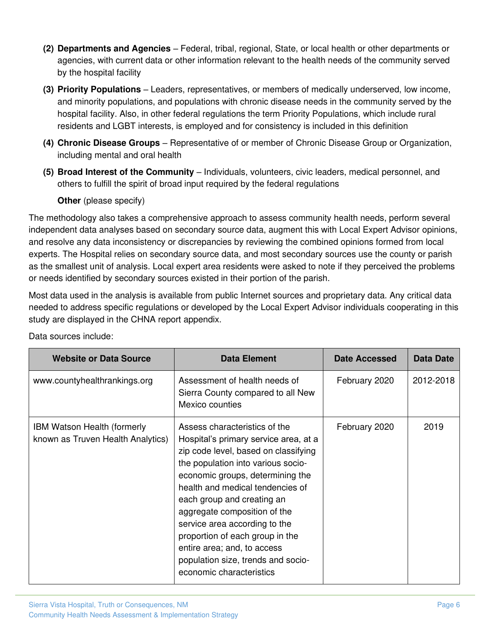- **(2) Departments and Agencies** Federal, tribal, regional, State, or local health or other departments or agencies, with current data or other information relevant to the health needs of the community served by the hospital facility
- **(3) Priority Populations** Leaders, representatives, or members of medically underserved, low income, and minority populations, and populations with chronic disease needs in the community served by the hospital facility. Also, in other federal regulations the term Priority Populations, which include rural residents and LGBT interests, is employed and for consistency is included in this definition
- **(4) Chronic Disease Groups** Representative of or member of Chronic Disease Group or Organization, including mental and oral health
- **(5) Broad Interest of the Community** Individuals, volunteers, civic leaders, medical personnel, and others to fulfill the spirit of broad input required by the federal regulations

#### **Other** (please specify)

The methodology also takes a comprehensive approach to assess community health needs, perform several independent data analyses based on secondary source data, augment this with Local Expert Advisor opinions, and resolve any data inconsistency or discrepancies by reviewing the combined opinions formed from local experts. The Hospital relies on secondary source data, and most secondary sources use the county or parish as the smallest unit of analysis. Local expert area residents were asked to note if they perceived the problems or needs identified by secondary sources existed in their portion of the parish.

Most data used in the analysis is available from public Internet sources and proprietary data. Any critical data needed to address specific regulations or developed by the Local Expert Advisor individuals cooperating in this study are displayed in the CHNA report appendix.

| <b>Website or Data Source</b>                                           | <b>Data Element</b>                                                                                                                                                                                                                                                                                                                                                                                                                                             | <b>Date Accessed</b> | <b>Data Date</b> |
|-------------------------------------------------------------------------|-----------------------------------------------------------------------------------------------------------------------------------------------------------------------------------------------------------------------------------------------------------------------------------------------------------------------------------------------------------------------------------------------------------------------------------------------------------------|----------------------|------------------|
| www.countyhealthrankings.org                                            | Assessment of health needs of<br>Sierra County compared to all New<br>Mexico counties                                                                                                                                                                                                                                                                                                                                                                           | February 2020        | 2012-2018        |
| <b>IBM Watson Health (formerly</b><br>known as Truven Health Analytics) | Assess characteristics of the<br>Hospital's primary service area, at a<br>zip code level, based on classifying<br>the population into various socio-<br>economic groups, determining the<br>health and medical tendencies of<br>each group and creating an<br>aggregate composition of the<br>service area according to the<br>proportion of each group in the<br>entire area; and, to access<br>population size, trends and socio-<br>economic characteristics | February 2020        | 2019             |

Data sources include: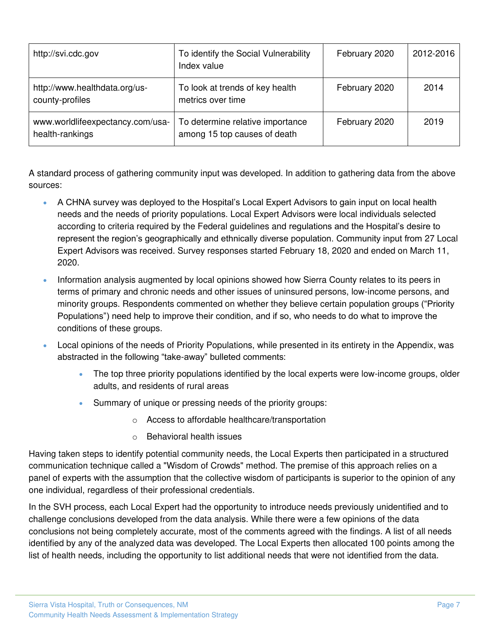| http://svi.cdc.gov                                  | To identify the Social Vulnerability<br>Index value              | February 2020 | 2012-2016 |
|-----------------------------------------------------|------------------------------------------------------------------|---------------|-----------|
| http://www.healthdata.org/us-<br>county-profiles    | To look at trends of key health<br>metrics over time             | February 2020 | 2014      |
| www.worldlifeexpectancy.com/usa-<br>health-rankings | To determine relative importance<br>among 15 top causes of death | February 2020 | 2019      |

A standard process of gathering community input was developed. In addition to gathering data from the above sources:

- A CHNA survey was deployed to the Hospital's Local Expert Advisors to gain input on local health needs and the needs of priority populations. Local Expert Advisors were local individuals selected according to criteria required by the Federal guidelines and regulations and the Hospital's desire to represent the region's geographically and ethnically diverse population. Community input from 27 Local Expert Advisors was received. Survey responses started February 18, 2020 and ended on March 11, 2020.
- Information analysis augmented by local opinions showed how Sierra County relates to its peers in terms of primary and chronic needs and other issues of uninsured persons, low-income persons, and minority groups. Respondents commented on whether they believe certain population groups ("Priority Populations") need help to improve their condition, and if so, who needs to do what to improve the conditions of these groups.
- Local opinions of the needs of Priority Populations, while presented in its entirety in the Appendix, was abstracted in the following "take-away" bulleted comments:
	- The top three priority populations identified by the local experts were low-income groups, older adults, and residents of rural areas
	- Summary of unique or pressing needs of the priority groups:
		- o Access to affordable healthcare/transportation
		- o Behavioral health issues

Having taken steps to identify potential community needs, the Local Experts then participated in a structured communication technique called a "Wisdom of Crowds" method. The premise of this approach relies on a panel of experts with the assumption that the collective wisdom of participants is superior to the opinion of any one individual, regardless of their professional credentials.

In the SVH process, each Local Expert had the opportunity to introduce needs previously unidentified and to challenge conclusions developed from the data analysis. While there were a few opinions of the data conclusions not being completely accurate, most of the comments agreed with the findings. A list of all needs identified by any of the analyzed data was developed. The Local Experts then allocated 100 points among the list of health needs, including the opportunity to list additional needs that were not identified from the data.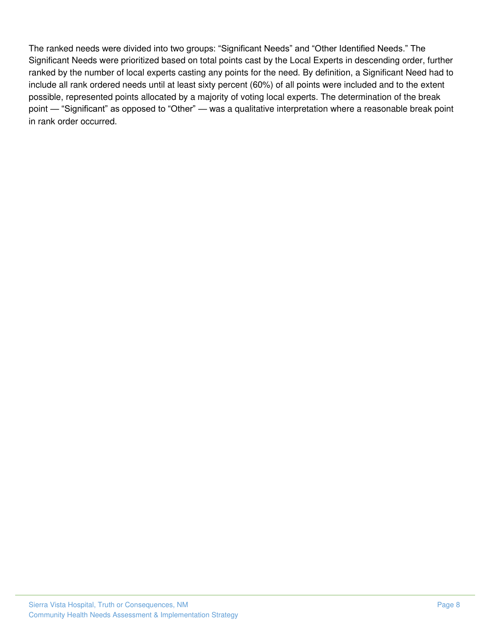The ranked needs were divided into two groups: "Significant Needs" and "Other Identified Needs." The Significant Needs were prioritized based on total points cast by the Local Experts in descending order, further ranked by the number of local experts casting any points for the need. By definition, a Significant Need had to include all rank ordered needs until at least sixty percent (60%) of all points were included and to the extent possible, represented points allocated by a majority of voting local experts. The determination of the break point — "Significant" as opposed to "Other" — was a qualitative interpretation where a reasonable break point in rank order occurred.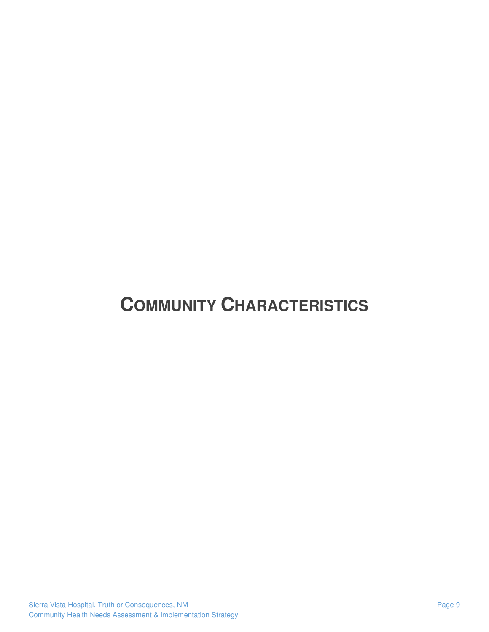# <span id="page-11-0"></span>**COMMUNITY CHARACTERISTICS**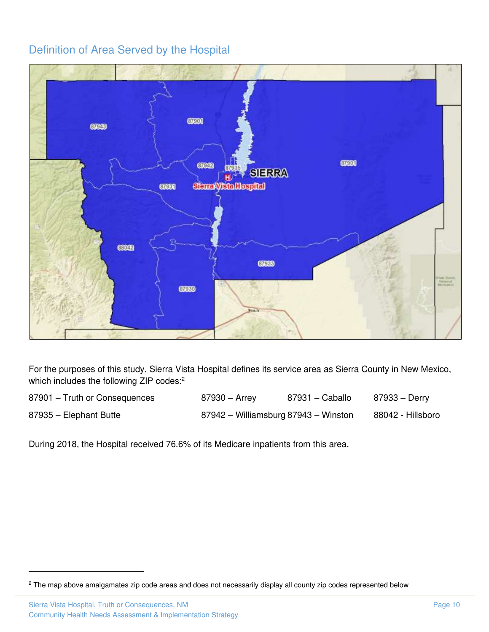### <span id="page-12-0"></span>Definition of Area Served by the Hospital



For the purposes of this study, Sierra Vista Hospital defines its service area as Sierra County in New Mexico, which includes the following ZIP codes:<sup>2</sup>

| 87901 - Truth or Consequences | 87930 – Arrey                        | 87931 - Caballo | 87933 – Derry     |
|-------------------------------|--------------------------------------|-----------------|-------------------|
| 87935 - Elephant Butte        | 87942 - Williamsburg 87943 - Winston |                 | 88042 - Hillsboro |

During 2018, the Hospital received 76.6% of its Medicare inpatients from this area.

 $^2$  The map above amalgamates zip code areas and does not necessarily display all county zip codes represented below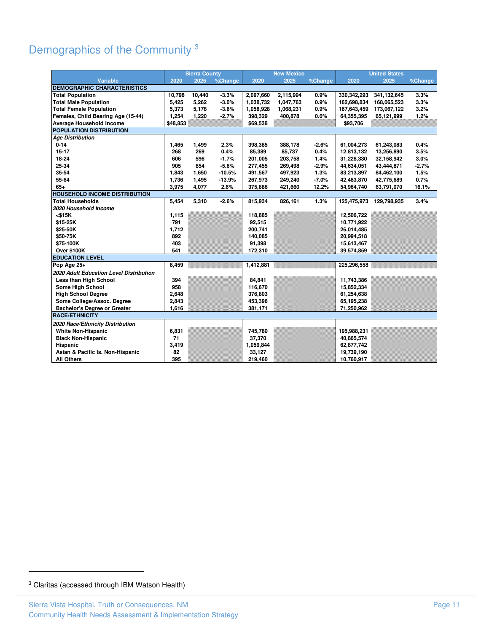## <span id="page-13-0"></span>Demographics of the Community <sup>3</sup>

|                                         |          | <b>Sierra County</b> |          |           | <b>New Mexico</b> |         |               | <b>United States</b> |         |
|-----------------------------------------|----------|----------------------|----------|-----------|-------------------|---------|---------------|----------------------|---------|
| <b>Variable</b>                         | 2020     | 2025                 | %Change  | 2020      | 2025              | %Change | 2020          | 2025                 | %Change |
| <b>DEMOGRAPHIC CHARACTERISTICS</b>      |          |                      |          |           |                   |         |               |                      |         |
| <b>Total Population</b>                 | 10,798   | 10,440               | $-3.3%$  | 2,097,660 | 2,115,994         | 0.9%    | 330, 342, 293 | 341,132,645          | 3.3%    |
| <b>Total Male Population</b>            | 5,425    | 5,262                | $-3.0%$  | 1,038,732 | 1,047,763         | 0.9%    | 162,698,834   | 168,065,523          | 3.3%    |
| <b>Total Female Population</b>          | 5,373    | 5,178                | $-3.6%$  | 1,058,928 | 1,068,231         | 0.9%    | 167,643,459   | 173,067,122          | 3.2%    |
| Females, Child Bearing Age (15-44)      | 1,254    | 1,220                | $-2.7%$  | 398,329   | 400,878           | 0.6%    | 64,355,395    | 65,121,999           | 1.2%    |
| Average Household Income                | \$48,853 |                      |          | \$69,538  |                   |         | \$93,706      |                      |         |
| POPULATION DISTRIBUTION                 |          |                      |          |           |                   |         |               |                      |         |
| <b>Age Distribution</b>                 |          |                      |          |           |                   |         |               |                      |         |
| $0 - 14$                                | 1,465    | 1,499                | 2.3%     | 398,385   | 388,178           | $-2.6%$ | 61,004,273    | 61,243,083           | 0.4%    |
| $15 - 17$                               | 268      | 269                  | 0.4%     | 85,389    | 85,737            | 0.4%    | 12,813,132    | 13,256,890           | 3.5%    |
| 18-24                                   | 606      | 596                  | $-1.7%$  | 201,005   | 203,758           | 1.4%    | 31,228,330    | 32,158,942           | 3.0%    |
| 25-34                                   | 905      | 854                  | $-5.6%$  | 277,455   | 269,498           | $-2.9%$ | 44,634,051    | 43,444,871           | $-2.7%$ |
| 35-54                                   | 1,843    | 1,650                | $-10.5%$ | 491,567   | 497,923           | 1.3%    | 83,213,897    | 84,462,100           | 1.5%    |
| 55-64                                   | 1,736    | 1,495                | $-13.9%$ | 267,973   | 249,240           | $-7.0%$ | 42,483,870    | 42,775,689           | 0.7%    |
| $65+$                                   | 3,975    | 4,077                | 2.6%     | 375,886   | 421,660           | 12.2%   | 54,964,740    | 63,791,070           | 16.1%   |
| <b>HOUSEHOLD INCOME DISTRIBUTION</b>    |          |                      |          |           |                   |         |               |                      |         |
| <b>Total Households</b>                 | 5,454    | 5,310                | $-2.6%$  | 815,934   | 826,161           | 1.3%    | 125,475,973   | 129,798,935          | 3.4%    |
| 2020 Household Income                   |          |                      |          |           |                   |         |               |                      |         |
| $<$ \$15 $K$                            | 1,115    |                      |          | 118,885   |                   |         | 12,506,722    |                      |         |
| \$15-25K                                | 791      |                      |          | 92,515    |                   |         | 10,771,922    |                      |         |
| \$25-50K                                | 1,712    |                      |          | 200,741   |                   |         | 26,014,485    |                      |         |
| \$50-75K                                | 892      |                      |          | 140,085   |                   |         | 20,994,518    |                      |         |
| \$75-100K                               | 403      |                      |          | 91,398    |                   |         | 15,613,467    |                      |         |
| Over \$100K                             | 541      |                      |          | 172,310   |                   |         | 39,574,859    |                      |         |
| <b>EDUCATION LEVEL</b>                  |          |                      |          |           |                   |         |               |                      |         |
| Pop Age 25+                             | 8,459    |                      |          | 1,412,881 |                   |         | 225,296,558   |                      |         |
| 2020 Adult Education Level Distribution |          |                      |          |           |                   |         |               |                      |         |
| Less than High School                   | 394      |                      |          | 84,841    |                   |         | 11,743,386    |                      |         |
| Some High School                        | 958      |                      |          | 116,670   |                   |         | 15,852,334    |                      |         |
| <b>High School Degree</b>               | 2,648    |                      |          | 376,803   |                   |         | 61,254,638    |                      |         |
| Some College/Assoc. Degree              | 2,843    |                      |          | 453,396   |                   |         | 65,195,238    |                      |         |
| <b>Bachelor's Degree or Greater</b>     | 1,616    |                      |          | 381,171   |                   |         | 71,250,962    |                      |         |
| <b>RACE/ETHNICITY</b>                   |          |                      |          |           |                   |         |               |                      |         |
| 2020 Race/Ethnicity Distribution        |          |                      |          |           |                   |         |               |                      |         |
| <b>White Non-Hispanic</b>               | 6,831    |                      |          | 745,780   |                   |         | 195,988,231   |                      |         |
| <b>Black Non-Hispanic</b>               | 71       |                      |          | 37,370    |                   |         | 40,865,574    |                      |         |
| Hispanic                                | 3,419    |                      |          | 1,059,844 |                   |         | 62,877,742    |                      |         |
| Asian & Pacific Is. Non-Hispanic        | 82       |                      |          | 33,127    |                   |         | 19,739,190    |                      |         |
| <b>All Others</b>                       | 395      |                      |          | 219,460   |                   |         | 10,760,917    |                      |         |

<sup>3</sup> Claritas (accessed through IBM Watson Health)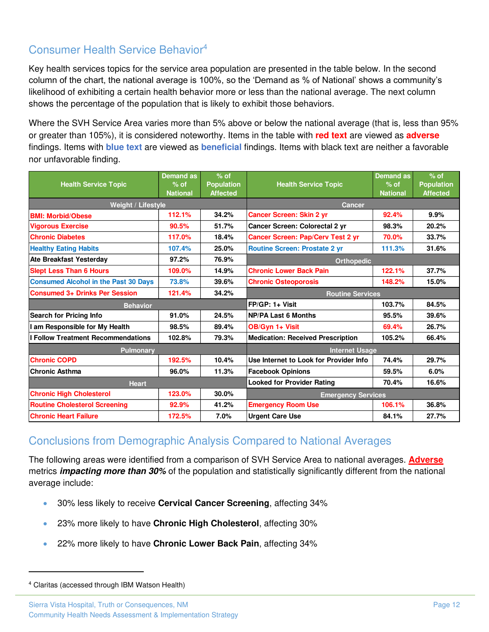## <span id="page-14-0"></span>Consumer Health Service Behavior<sup>4</sup>

Key health services topics for the service area population are presented in the table below. In the second column of the chart, the national average is 100%, so the 'Demand as % of National' shows a community's likelihood of exhibiting a certain health behavior more or less than the national average. The next column shows the percentage of the population that is likely to exhibit those behaviors.

Where the SVH Service Area varies more than 5% above or below the national average (that is, less than 95% or greater than 105%), it is considered noteworthy. Items in the table with **red text** are viewed as **adverse** findings. Items with **blue text** are viewed as **beneficial** findings. Items with black text are neither a favorable nor unfavorable finding.

| <b>Health Service Topic</b>                 | Demand as<br>$%$ of<br><b>National</b> | $%$ of<br><b>Population</b><br><b>Affected</b> | <b>Health Service Topic</b>              | <b>Demand as</b><br>$%$ of<br><b>National</b> | $%$ of<br><b>Population</b><br><b>Affected</b> |
|---------------------------------------------|----------------------------------------|------------------------------------------------|------------------------------------------|-----------------------------------------------|------------------------------------------------|
| Weight / Lifestyle                          |                                        |                                                | <b>Cancer</b>                            |                                               |                                                |
| <b>BMI: Morbid/Obese</b>                    | 112.1%                                 | 34.2%                                          | <b>Cancer Screen: Skin 2 yr</b>          | 92.4%                                         | 9.9%                                           |
| <b>Vigorous Exercise</b>                    | 90.5%                                  | 51.7%                                          | Cancer Screen: Colorectal 2 yr           | 98.3%                                         | 20.2%                                          |
| <b>Chronic Diabetes</b>                     | 117.0%                                 | 18.4%                                          | <b>Cancer Screen: Pap/Cerv Test 2 yr</b> | 70.0%                                         | 33.7%                                          |
| <b>Healthy Eating Habits</b>                | 107.4%                                 | 25.0%                                          | <b>Routine Screen: Prostate 2 yr</b>     | 111.3%                                        | 31.6%                                          |
| <b>Ate Breakfast Yesterday</b>              | 97.2%                                  | 76.9%                                          | <b>Orthopedic</b>                        |                                               |                                                |
| <b>Slept Less Than 6 Hours</b>              | 109.0%                                 | 14.9%                                          | <b>Chronic Lower Back Pain</b>           | 122.1%                                        | 37.7%                                          |
| <b>Consumed Alcohol in the Past 30 Days</b> | 73.8%                                  | 39.6%                                          | <b>Chronic Osteoporosis</b>              | 148.2%                                        | 15.0%                                          |
| <b>Consumed 3+ Drinks Per Session</b>       | 121.4%                                 | 34.2%                                          | <b>Routine Services</b>                  |                                               |                                                |
| <b>Behavior</b>                             |                                        |                                                | 103.7%<br>FP/GP: 1+ Visit<br>84.5%       |                                               |                                                |
| <b>Search for Pricing Info</b>              | 91.0%                                  | 24.5%                                          | <b>NP/PA Last 6 Months</b>               | 95.5%                                         | 39.6%                                          |
| am Responsible for My Health                | 98.5%                                  | 89.4%                                          | OB/Gyn 1+ Visit<br>69.4%                 |                                               | 26.7%                                          |
| <b>Follow Treatment Recommendations</b>     | 102.8%                                 | 79.3%                                          | <b>Medication: Received Prescription</b> | 105.2%                                        | 66.4%                                          |
| <b>Pulmonary</b>                            |                                        |                                                | <b>Internet Usage</b>                    |                                               |                                                |
| <b>Chronic COPD</b>                         | 192.5%                                 | 10.4%                                          | Use Internet to Look for Provider Info   | 74.4%                                         | 29.7%                                          |
| <b>Chronic Asthma</b>                       | 96.0%                                  | 11.3%                                          | <b>Facebook Opinions</b>                 | 59.5%                                         | 6.0%                                           |
| <b>Heart</b>                                |                                        |                                                | <b>Looked for Provider Rating</b>        | 70.4%                                         | 16.6%                                          |
| <b>Chronic High Cholesterol</b>             | 123.0%                                 | 30.0%                                          | <b>Emergency Services</b>                |                                               |                                                |
| <b>Routine Cholesterol Screening</b>        | 92.9%                                  | 41.2%                                          | 106.1%<br><b>Emergency Room Use</b>      |                                               | 36.8%                                          |
| <b>Chronic Heart Failure</b>                | 172.5%                                 | 7.0%                                           | <b>Urgent Care Use</b>                   | 84.1%                                         | 27.7%                                          |

### <span id="page-14-1"></span>Conclusions from Demographic Analysis Compared to National Averages

The following areas were identified from a comparison of SVH Service Area to national averages. **Adverse**  metrics *impacting more than 30%* of the population and statistically significantly different from the national average include:

- 30% less likely to receive **Cervical Cancer Screening**, affecting 34%
- 23% more likely to have **Chronic High Cholesterol**, affecting 30%
- 22% more likely to have **Chronic Lower Back Pain**, affecting 34%

<sup>4</sup> Claritas (accessed through IBM Watson Health)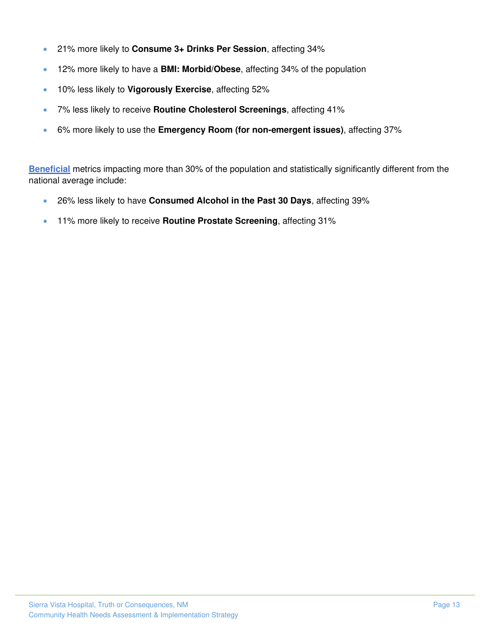- 21% more likely to **Consume 3+ Drinks Per Session**, affecting 34%
- 12% more likely to have a **BMI: Morbid/Obese**, affecting 34% of the population
- 10% less likely to **Vigorously Exercise**, affecting 52%
- 7% less likely to receive **Routine Cholesterol Screenings**, affecting 41%
- 6% more likely to use the **Emergency Room (for non-emergent issues)**, affecting 37%

**Beneficial** metrics impacting more than 30% of the population and statistically significantly different from the national average include:

- 26% less likely to have **Consumed Alcohol in the Past 30 Days**, affecting 39%
- 11% more likely to receive **Routine Prostate Screening**, affecting 31%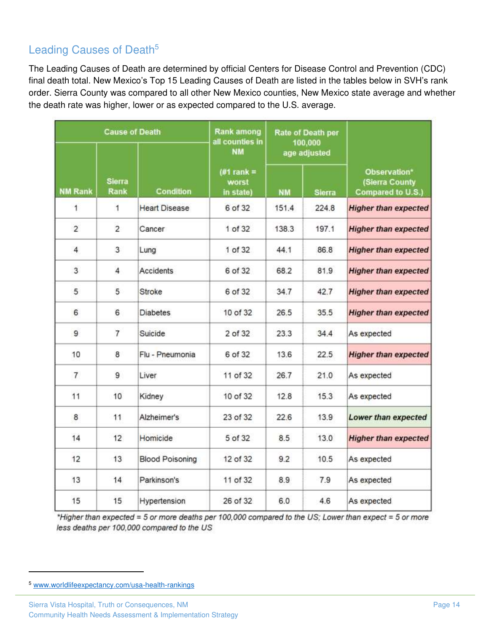## <span id="page-16-0"></span>Leading Causes of Death<sup>5</sup>

The Leading Causes of Death are determined by official Centers for Disease Control and Prevention (CDC) final death total. New Mexico's Top 15 Leading Causes of Death are listed in the tables below in SVH's rank order. Sierra County was compared to all other New Mexico counties, New Mexico state average and whether the death rate was higher, lower or as expected compared to the U.S. average.

|                |                       | <b>Rank among</b><br><b>Cause of Death</b><br>Rate of Death per<br>all counties in<br>100,000 |                                    |           |              |                                                     |
|----------------|-----------------------|-----------------------------------------------------------------------------------------------|------------------------------------|-----------|--------------|-----------------------------------------------------|
|                |                       |                                                                                               | <b>NM</b>                          |           | age adjusted |                                                     |
| <b>NM Rank</b> | <b>Sierra</b><br>Rank | Condition                                                                                     | (#1 rank $=$<br>worst<br>in state) | <b>NM</b> | Sierra       | Observation*<br>(Sierra County<br>Compared to U.S.) |
| 1              | 1                     | <b>Heart Disease</b>                                                                          | 6 of 32                            | 151.4     | 224.8        | <b>Higher than expected</b>                         |
| $\overline{2}$ | $\overline{2}$        | Cancer                                                                                        | 1 of 32                            | 138.3     | 197.1        | <b>Higher than expected</b>                         |
| 4              | 3                     | Lung                                                                                          | 1 of 32                            | 44.1      | 86.8         | <b>Higher than expected</b>                         |
| 3              | $\overline{4}$        | Accidents                                                                                     | 6 of 32                            | 68.2      | 81.9         | <b>Higher than expected</b>                         |
| 5              | 5                     | Stroke                                                                                        | 6 of 32                            | 34.7      | 42.7         | <b>Higher than expected</b>                         |
| 6              | 6                     | <b>Diabetes</b>                                                                               | 10 of 32                           | 26.5      | 35.5         | <b>Higher than expected</b>                         |
| 9              | $\overline{7}$        | Suicide                                                                                       | 2 of 32                            | 23.3      | 34.4         | As expected                                         |
| 10             | 8                     | Flu - Pneumonia                                                                               | 6 of 32                            | 13.6      | 22.5         | <b>Higher than expected</b>                         |
| $\overline{7}$ | 9                     | Liver                                                                                         | 11 of 32                           | 26.7      | 21.0         | As expected                                         |
| 11             | 10                    | Kidney                                                                                        | 10 of 32                           | 12.8      | 15.3         | As expected                                         |
| 8              | 11                    | Alzheimer's                                                                                   | 23 of 32                           | 22.6      | 13.9         | <b>Lower than expected</b>                          |
| 14             | 12                    | Homicide                                                                                      | 5 of 32                            | 8.5       | 13.0         | <b>Higher than expected</b>                         |
| 12             | 13                    | <b>Blood Poisoning</b>                                                                        | 12 of 32                           | 9.2       | 10.5         | As expected                                         |
| 13             | 14                    | Parkinson's                                                                                   | 11 of 32                           | 8.9       | 7.9          | As expected                                         |
| 15             | 15                    | Hypertension                                                                                  | 26 of 32                           | 6.0       | 4.6          | As expected                                         |

\*Higher than expected = 5 or more deaths per 100,000 compared to the US; Lower than expect = 5 or more less deaths per 100,000 compared to the US

<sup>5</sup> [www.worldlifeexpectancy.com/usa-health-rankings](http://www.worldlifeexpectancy.com/usa-health-rankings)

Sierra Vista Hospital, Truth or Consequences, NM **Page 14** and the state of the state of the state of the state of the state of the state of the state of the state of the state of the state of the state of the state of the Community Health Needs Assessment & Implementation Strategy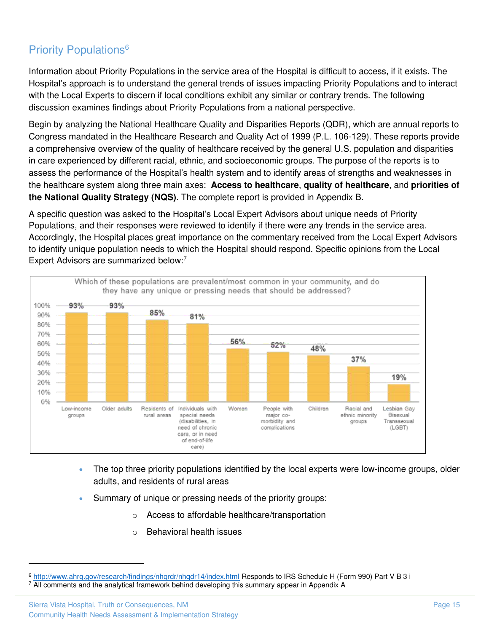## Priority Populations<sup>6</sup>

Information about Priority Populations in the service area of the Hospital is difficult to access, if it exists. The Hospital's approach is to understand the general trends of issues impacting Priority Populations and to interact with the Local Experts to discern if local conditions exhibit any similar or contrary trends. The following discussion examines findings about Priority Populations from a national perspective.

Begin by analyzing the National Healthcare Quality and Disparities Reports (QDR), which are annual reports to Congress mandated in the Healthcare Research and Quality Act of 1999 (P.L. 106-129). These reports provide a comprehensive overview of the quality of healthcare received by the general U.S. population and disparities in care experienced by different racial, ethnic, and socioeconomic groups. The purpose of the reports is to assess the performance of the Hospital's health system and to identify areas of strengths and weaknesses in the healthcare system along three main axes: **Access to healthcare**, **quality of healthcare**, and **priorities of the National Quality Strategy (NQS)**. The complete report is provided in Appendix B.

A specific question was asked to the Hospital's Local Expert Advisors about unique needs of Priority Populations, and their responses were reviewed to identify if there were any trends in the service area. Accordingly, the Hospital places great importance on the commentary received from the Local Expert Advisors to identify unique population needs to which the Hospital should respond. Specific opinions from the Local Expert Advisors are summarized below:<sup>7</sup>



- The top three priority populations identified by the local experts were low-income groups, older adults, and residents of rural areas
- Summary of unique or pressing needs of the priority groups:
	- o Access to affordable healthcare/transportation
	- o Behavioral health issues

<sup>6</sup> <http://www.ahrq.gov/research/findings/nhqrdr/nhqdr14/index.html>Responds to IRS Schedule H (Form 990) Part V B 3 i 7 All comments and the analytical framework behind developing this summary appear in Appendix A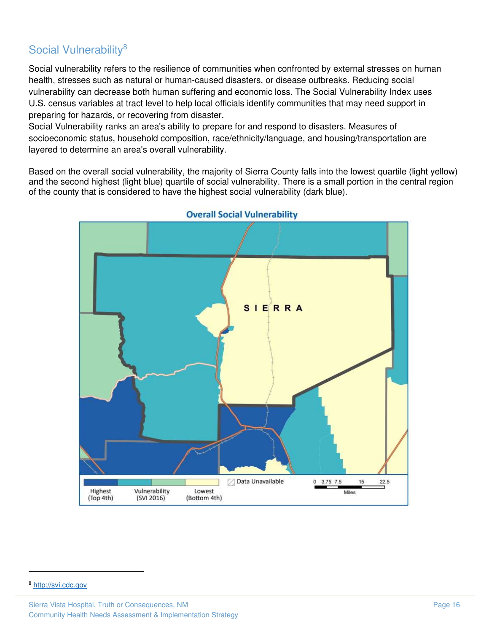## <span id="page-18-0"></span>Social Vulnerability<sup>8</sup>

Social vulnerability refers to the resilience of communities when confronted by external stresses on human health, stresses such as natural or human-caused disasters, or disease outbreaks. Reducing social vulnerability can decrease both human suffering and economic loss. The Social Vulnerability Index uses U.S. census variables at tract level to help local officials identify communities that may need support in preparing for hazards, or recovering from disaster.

Social Vulnerability ranks an area's ability to prepare for and respond to disasters. Measures of socioeconomic status, household composition, race/ethnicity/language, and housing/transportation are layered to determine an area's overall vulnerability.

Based on the overall social vulnerability, the majority of Sierra County falls into the lowest quartile (light yellow) and the second highest (light blue) quartile of social vulnerability. There is a small portion in the central region of the county that is considered to have the highest social vulnerability (dark blue).



**Overall Social Vulnerability** 

<sup>8</sup> [http://svi.cdc.gov](http://svi.cdc.gov/)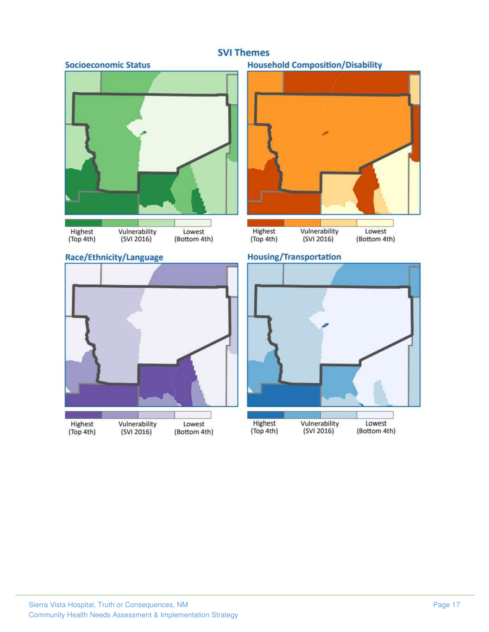#### **SVI Themes**







#### **Household Composition/Disability**





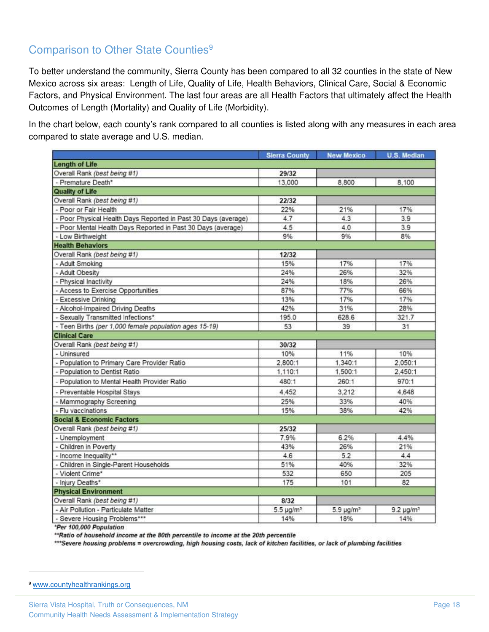## Comparison to Other State Counties<sup>9</sup>

To better understand the community, Sierra County has been compared to all 32 counties in the state of New Mexico across six areas: Length of Life, Quality of Life, Health Behaviors, Clinical Care, Social & Economic Factors, and Physical Environment. The last four areas are all Health Factors that ultimately affect the Health Outcomes of Length (Mortality) and Quality of Life (Morbidity).

In the chart below, each county's rank compared to all counties is listed along with any measures in each area compared to state average and U.S. median.

|                                                                | <b>Sierra County</b>  | <b>New Mexico</b>          | <b>U.S. Median</b> |
|----------------------------------------------------------------|-----------------------|----------------------------|--------------------|
| <b>Length of Life</b>                                          |                       |                            |                    |
| Overall Rank (best being #1)                                   | 29/32                 |                            |                    |
| - Premature Death*                                             | 13,000                | 8,800                      | 8,100              |
| <b>Quality of Life</b>                                         |                       |                            |                    |
| Overall Rank (best being #1)                                   | 22/32                 |                            |                    |
| - Poor or Fair Health                                          | 22%                   | 21%                        | 17%                |
| - Poor Physical Health Days Reported in Past 30 Days (average) | 4.7                   | 4.3                        | 3.9                |
| - Poor Mental Health Days Reported in Past 30 Days (average)   | 4.5                   | 4.0                        | 3.9                |
| - Low Birthweight                                              | 9%                    | 9%                         | 8%                 |
| <b>Health Behaviors</b>                                        |                       |                            |                    |
| Overall Rank (best being #1)                                   | 12/32                 |                            |                    |
| - Adult Smoking                                                | 15%                   | 17%                        | 17%                |
| - Adult Obesity                                                | 24%                   | 26%                        | 32%                |
| - Physical Inactivity                                          | 24%                   | 18%                        | 26%                |
| - Access to Exercise Opportunities                             | 87%                   | 77%                        | 66%                |
| - Excessive Drinking                                           | 13%                   | 17%                        | 17%                |
| - Alcohol-Impaired Driving Deaths                              | 42%                   | 31%                        | 28%                |
| - Sexually Transmitted Infections*                             | 195.0                 | 628.6                      | 321.7              |
| - Teen Births (per 1,000 female population ages 15-19)         | 53                    | 39                         | 31                 |
| <b>Clinical Care</b>                                           |                       |                            |                    |
| Overall Rank (best being #1)                                   | 30/32                 |                            |                    |
| - Uninsured                                                    | 10%                   | 11%                        | 10%                |
| - Population to Primary Care Provider Ratio                    | 2,800:1               | 1,340:1                    | 2,050:1            |
| - Population to Dentist Ratio                                  | 1,110:1               | 1,500:1                    | 2,450:1            |
| - Population to Mental Health Provider Ratio                   | 480:1                 | 260:1                      | 970:1              |
| - Preventable Hospital Stays                                   | 4,452                 | 3,212                      | 4.648              |
| - Mammography Screening                                        | 25%                   | 33%                        | 40%                |
| - Flu vaccinations                                             | 15%                   | 38%                        | 42%                |
| <b>Social &amp; Economic Factors</b>                           |                       |                            |                    |
| Overall Rank (best being #1)                                   | 25/32                 |                            |                    |
| - Unemployment                                                 | 7.9%                  | 6.2%                       | 4.4%               |
| - Children in Poverty                                          | 43%                   | 26%                        | 21%                |
| - Income Inequality**                                          | 4.6                   | 5.2                        | 4.4                |
| - Children in Single-Parent Households                         | 51%                   | 40%                        | 32%                |
| - Violent Crime*                                               | 532                   | 650                        | 205                |
| - Injury Deaths*                                               | 175                   | 101                        | 82                 |
| <b>Physical Environment</b>                                    |                       |                            |                    |
| Overall Rank (best being #1)                                   | 8/32                  |                            |                    |
| - Air Pollution - Particulate Matter                           | 5.5 µg/m <sup>3</sup> | $5.9 \,\mathrm{\mu g/m^3}$ | $9.2 \mu g/m^3$    |
| - Severe Housing Problems***                                   | 14%                   | 18%                        | 14%                |

\*Per 100,000 Population

\*\* Ratio of household income at the 80th percentile to income at the 20th percentile

\*\*\* Severe housing problems = overcrowding, high housing costs, lack of kitchen facilities, or lack of plumbing facilities

<sup>9</sup> [www.countyhealthrankings.org](http://www.countyhealthrankings.org/)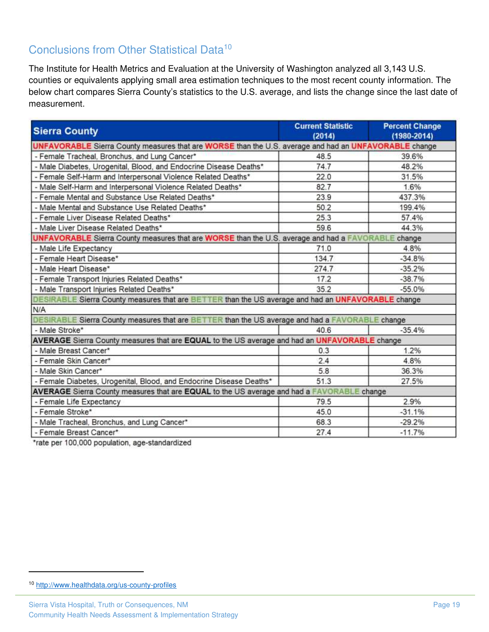## <span id="page-21-0"></span>Conclusions from Other Statistical Data<sup>10</sup>

The Institute for Health Metrics and Evaluation at the University of Washington analyzed all 3,143 U.S. counties or equivalents applying small area estimation techniques to the most recent county information. The below chart compares Sierra County's statistics to the U.S. average, and lists the change since the last date of measurement.

| <b>Sierra County</b>                                                                                  | <b>Current Statistic</b><br>(2014) | <b>Percent Change</b><br>$(1980 - 2014)$ |
|-------------------------------------------------------------------------------------------------------|------------------------------------|------------------------------------------|
| UNFAVORABLE Sierra County measures that are WORSE than the U.S. average and had an UNFAVORABLE change |                                    |                                          |
| - Female Tracheal, Bronchus, and Lung Cancer*                                                         | 48.5                               | 39.6%                                    |
| - Male Diabetes, Urogenital, Blood, and Endocrine Disease Deaths*                                     | 74.7                               | 48.2%                                    |
| - Female Self-Harm and Interpersonal Violence Related Deaths*                                         | 22.0                               | 31.5%                                    |
| - Male Self-Harm and Interpersonal Violence Related Deaths*                                           | 82.7                               | 1.6%                                     |
| Female Mental and Substance Use Related Deaths*                                                       | 23.9                               | 437.3%                                   |
| - Male Mental and Substance Use Related Deaths*                                                       | 50.2                               | 199.4%                                   |
| - Female Liver Disease Related Deaths*                                                                | 25.3                               | 57.4%                                    |
| - Male Liver Disease Related Deaths*                                                                  | 59.6                               | 44.3%                                    |
| UNFAVORABLE Sierra County measures that are WORSE than the U.S. average and had a FAVORABLE change    |                                    |                                          |
| - Male Life Expectancy                                                                                | 71.0                               | 4.8%                                     |
| - Female Heart Disease*                                                                               | 134.7                              | $-34.8%$                                 |
| - Male Heart Disease*                                                                                 | 274.7                              | $-35.2%$                                 |
| - Female Transport Injuries Related Deaths*                                                           | 17.2                               | $-38.7%$                                 |
| - Male Transport Injuries Related Deaths*                                                             | 35.2                               | $-55.0%$                                 |
| DESIRABLE Sierra County measures that are BETTER than the US average and had an UNFAVORABLE change    |                                    |                                          |
| N/A                                                                                                   |                                    |                                          |
| DESIRABLE Sierra County measures that are BETTER than the US average and had a FAVORABLE change       |                                    |                                          |
| - Male Stroke*                                                                                        | 40.6                               | $-35.4%$                                 |
| AVERAGE Sierra County measures that are EQUAL to the US average and had an UNFAVORABLE change         |                                    |                                          |
| - Male Breast Cancer*                                                                                 | 0.3                                | 1.2%                                     |
| - Female Skin Cancer*                                                                                 | 2.4                                | 4.8%                                     |
| - Male Skin Cancer*                                                                                   | 5.8                                | 36.3%                                    |
| - Female Diabetes, Urogenital, Blood, and Endocrine Disease Deaths*                                   | 51.3                               | 27.5%                                    |
| AVERAGE Sierra County measures that are EQUAL to the US average and had a FAVORABLE change            |                                    |                                          |
| - Female Life Expectancy                                                                              | 79.5                               | 2.9%                                     |
| - Female Stroke*                                                                                      | 45.0                               | $-31.1%$                                 |
| - Male Tracheal, Bronchus, and Lung Cancer*                                                           | 68.3                               | $-29.2%$                                 |
| - Female Breast Cancer*                                                                               | 27.4                               | $-11.7%$                                 |

\*rate per 100,000 population, age-standardized

<sup>10</sup> <http://www.healthdata.org/us-county-profiles>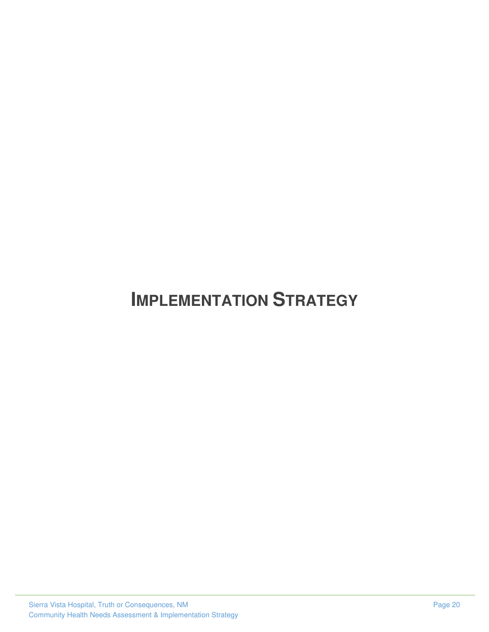# <span id="page-22-0"></span>**IMPLEMENTATION STRATEGY**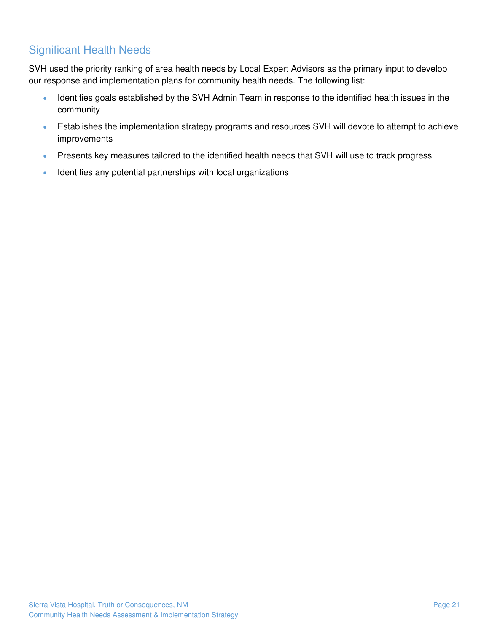## <span id="page-23-0"></span>Significant Health Needs

SVH used the priority ranking of area health needs by Local Expert Advisors as the primary input to develop our response and implementation plans for community health needs. The following list:

- Identifies goals established by the SVH Admin Team in response to the identified health issues in the community
- Establishes the implementation strategy programs and resources SVH will devote to attempt to achieve improvements
- Presents key measures tailored to the identified health needs that SVH will use to track progress
- Identifies any potential partnerships with local organizations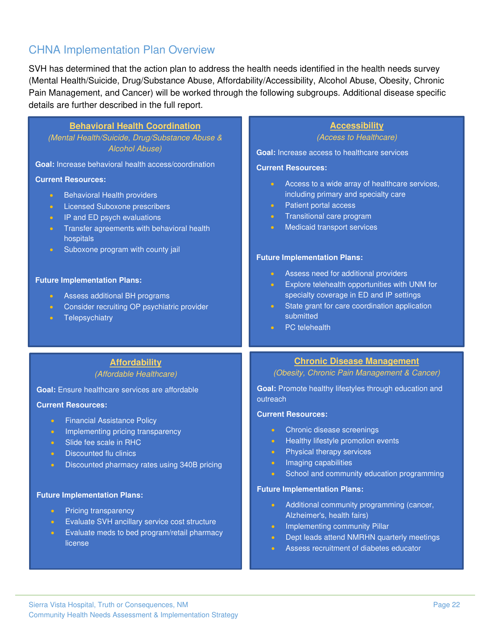## CHNA Implementation Plan Overview

SVH has determined that the action plan to address the health needs identified in the health needs survey (Mental Health/Suicide, Drug/Substance Abuse, Affordability/Accessibility, Alcohol Abuse, Obesity, Chronic Pain Management, and Cancer) will be worked through the following subgroups. Additional disease specific details are further described in the full report.

| <b>Accessibility</b><br>(Access to Healthcare)                                                                                                                                                                                                                                                                                                                                                                                                                                                                                      |
|-------------------------------------------------------------------------------------------------------------------------------------------------------------------------------------------------------------------------------------------------------------------------------------------------------------------------------------------------------------------------------------------------------------------------------------------------------------------------------------------------------------------------------------|
| <b>Goal:</b> Increase access to healthcare services                                                                                                                                                                                                                                                                                                                                                                                                                                                                                 |
| <b>Current Resources:</b>                                                                                                                                                                                                                                                                                                                                                                                                                                                                                                           |
| Access to a wide array of healthcare services,<br>$\bullet$<br>including primary and specialty care<br>Patient portal access<br>$\bullet$<br>Transitional care program<br>$\bullet$<br>Medicaid transport services<br>$\bullet$<br><b>Future Implementation Plans:</b><br>Assess need for additional providers<br>$\bullet$ .<br>Explore telehealth opportunities with UNM for<br>$\bullet$<br>specialty coverage in ED and IP settings<br>State grant for care coordination application<br>submitted<br>PC telehealth<br>$\bullet$ |
| <b>Chronic Disease Management</b>                                                                                                                                                                                                                                                                                                                                                                                                                                                                                                   |
| (Obesity, Chronic Pain Management & Cancer)                                                                                                                                                                                                                                                                                                                                                                                                                                                                                         |
| Goal: Promote healthy lifestyles through education and<br>outreach                                                                                                                                                                                                                                                                                                                                                                                                                                                                  |
|                                                                                                                                                                                                                                                                                                                                                                                                                                                                                                                                     |
| <b>Current Resources:</b><br>Chronic disease screenings<br>$\bullet$<br>Healthy lifestyle promotion events<br>$\bullet$<br>Physical therapy services<br>$\bullet$<br>Imaging capabilities<br>$\bullet$<br>School and community education programming                                                                                                                                                                                                                                                                                |
| <b>Future Implementation Plans:</b>                                                                                                                                                                                                                                                                                                                                                                                                                                                                                                 |
| Additional community programming (cancer,<br>$\bullet$<br>Alzheimer's, health fairs)<br>Implementing community Pillar<br>$\bullet$<br>Dept leads attend NMRHN quarterly meetings<br>$\bullet$<br>Assess recruitment of diabetes educator<br>$\bullet$                                                                                                                                                                                                                                                                               |
|                                                                                                                                                                                                                                                                                                                                                                                                                                                                                                                                     |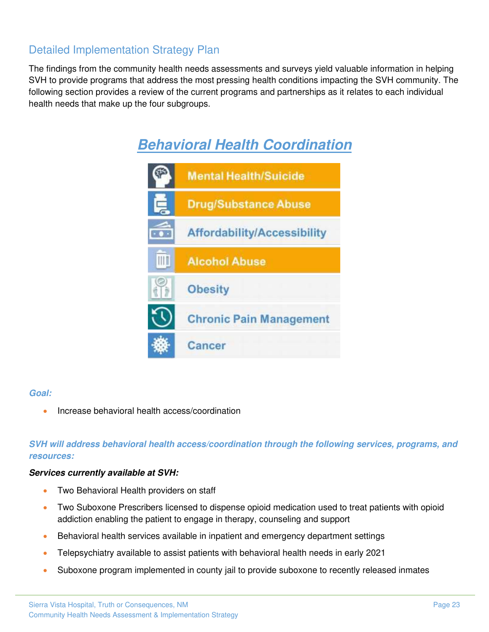## Detailed Implementation Strategy Plan

The findings from the community health needs assessments and surveys yield valuable information in helping SVH to provide programs that address the most pressing health conditions impacting the SVH community. The following section provides a review of the current programs and partnerships as it relates to each individual health needs that make up the four subgroups.



#### *Goal:*

• Increase behavioral health access/coordination

#### *SVH will address behavioral health access/coordination through the following services, programs, and resources:*

#### *Services currently available at SVH:*

- Two Behavioral Health providers on staff
- Two Suboxone Prescribers licensed to dispense opioid medication used to treat patients with opioid addiction enabling the patient to engage in therapy, counseling and support
- Behavioral health services available in inpatient and emergency department settings
- Telepsychiatry available to assist patients with behavioral health needs in early 2021
- Suboxone program implemented in county jail to provide suboxone to recently released inmates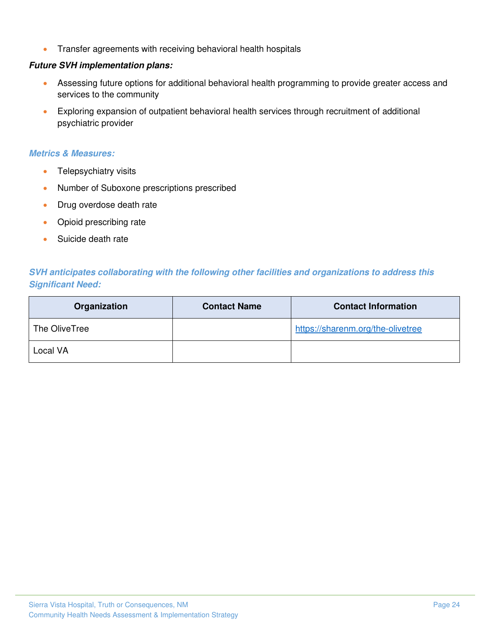• Transfer agreements with receiving behavioral health hospitals

#### *Future SVH implementation plans:*

- Assessing future options for additional behavioral health programming to provide greater access and services to the community
- Exploring expansion of outpatient behavioral health services through recruitment of additional psychiatric provider

#### *Metrics & Measures:*

- Telepsychiatry visits
- Number of Suboxone prescriptions prescribed
- Drug overdose death rate
- Opioid prescribing rate
- Suicide death rate

#### *SVH anticipates collaborating with the following other facilities and organizations to address this Significant Need:*

| Organization  | <b>Contact Name</b> | <b>Contact Information</b>        |
|---------------|---------------------|-----------------------------------|
| The OliveTree |                     | https://sharenm.org/the-olivetree |
| Local VA      |                     |                                   |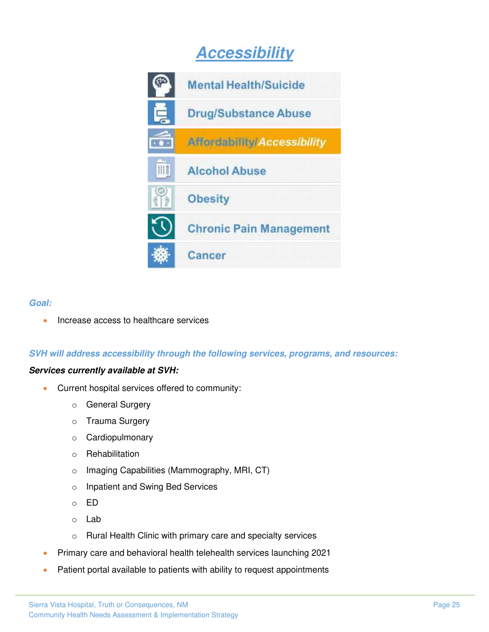## *Accessibility*



#### *Goal:*

• Increase access to healthcare services

#### *SVH will address accessibility through the following services, programs, and resources:*

#### *Services currently available at SVH:*

- Current hospital services offered to community:
	- o General Surgery
	- o Trauma Surgery
	- o Cardiopulmonary
	- o Rehabilitation
	- o Imaging Capabilities (Mammography, MRI, CT)
	- o Inpatient and Swing Bed Services
	- o ED
	- o Lab
	- o Rural Health Clinic with primary care and specialty services
- Primary care and behavioral health telehealth services launching 2021
- Patient portal available to patients with ability to request appointments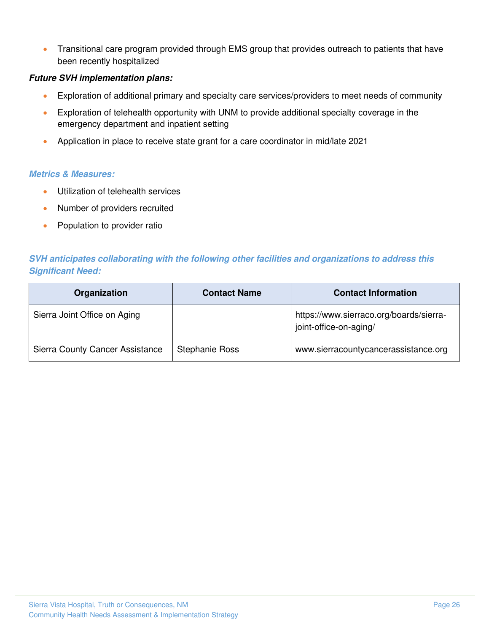• Transitional care program provided through EMS group that provides outreach to patients that have been recently hospitalized

#### *Future SVH implementation plans:*

- Exploration of additional primary and specialty care services/providers to meet needs of community
- Exploration of telehealth opportunity with UNM to provide additional specialty coverage in the emergency department and inpatient setting
- Application in place to receive state grant for a care coordinator in mid/late 2021

#### *Metrics & Measures:*

- Utilization of telehealth services
- Number of providers recruited
- Population to provider ratio

#### *SVH anticipates collaborating with the following other facilities and organizations to address this Significant Need:*

| Organization                           | <b>Contact Name</b>   | <b>Contact Information</b>                                        |
|----------------------------------------|-----------------------|-------------------------------------------------------------------|
| Sierra Joint Office on Aging           |                       | https://www.sierraco.org/boards/sierra-<br>joint-office-on-aging/ |
| <b>Sierra County Cancer Assistance</b> | <b>Stephanie Ross</b> | www.sierracountycancerassistance.org                              |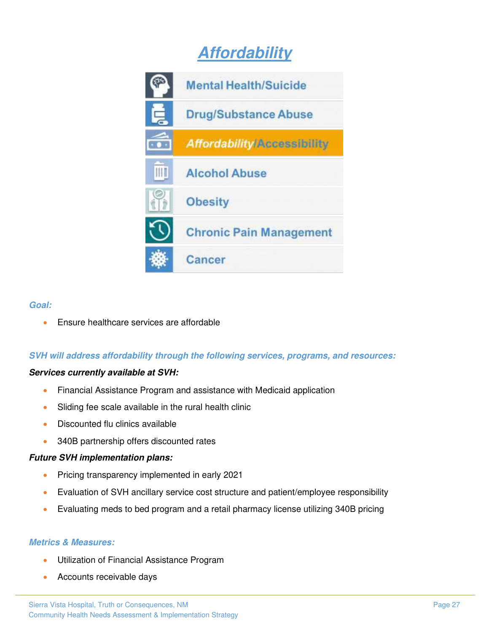## *Affordability*



#### *Goal:*

• Ensure healthcare services are affordable

#### *SVH will address affordability through the following services, programs, and resources:*

#### *Services currently available at SVH:*

- Financial Assistance Program and assistance with Medicaid application
- Sliding fee scale available in the rural health clinic
- Discounted flu clinics available
- 340B partnership offers discounted rates

#### *Future SVH implementation plans:*

- Pricing transparency implemented in early 2021
- Evaluation of SVH ancillary service cost structure and patient/employee responsibility
- Evaluating meds to bed program and a retail pharmacy license utilizing 340B pricing

#### *Metrics & Measures:*

- Utilization of Financial Assistance Program
- Accounts receivable days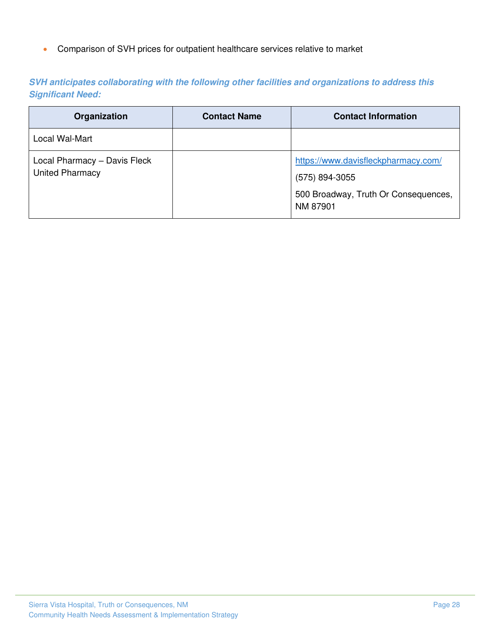• Comparison of SVH prices for outpatient healthcare services relative to market

| SVH anticipates collaborating with the following other facilities and organizations to address this |  |  |  |
|-----------------------------------------------------------------------------------------------------|--|--|--|
| <b>Significant Need:</b>                                                                            |  |  |  |

| Organization                                           | <b>Contact Name</b> | <b>Contact Information</b>                                                                                |
|--------------------------------------------------------|---------------------|-----------------------------------------------------------------------------------------------------------|
| Local Wal-Mart                                         |                     |                                                                                                           |
| Local Pharmacy - Davis Fleck<br><b>United Pharmacy</b> |                     | https://www.davisfleckpharmacy.com/<br>(575) 894-3055<br>500 Broadway, Truth Or Consequences,<br>NM 87901 |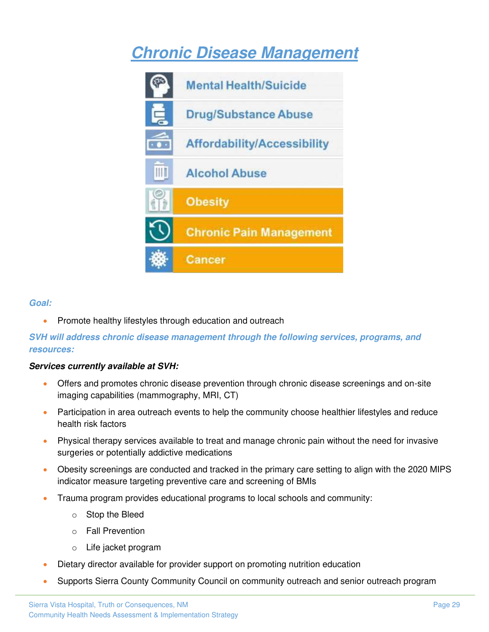## *Chronic Disease Management*



#### *Goal:*

• Promote healthy lifestyles through education and outreach

#### *SVH will address chronic disease management through the following services, programs, and resources:*

#### *Services currently available at SVH:*

- Offers and promotes chronic disease prevention through chronic disease screenings and on-site imaging capabilities (mammography, MRI, CT)
- Participation in area outreach events to help the community choose healthier lifestyles and reduce health risk factors
- Physical therapy services available to treat and manage chronic pain without the need for invasive surgeries or potentially addictive medications
- Obesity screenings are conducted and tracked in the primary care setting to align with the 2020 MIPS indicator measure targeting preventive care and screening of BMIs
- Trauma program provides educational programs to local schools and community:
	- o Stop the Bleed
	- o Fall Prevention
	- o Life jacket program
- Dietary director available for provider support on promoting nutrition education
- Supports Sierra County Community Council on community outreach and senior outreach program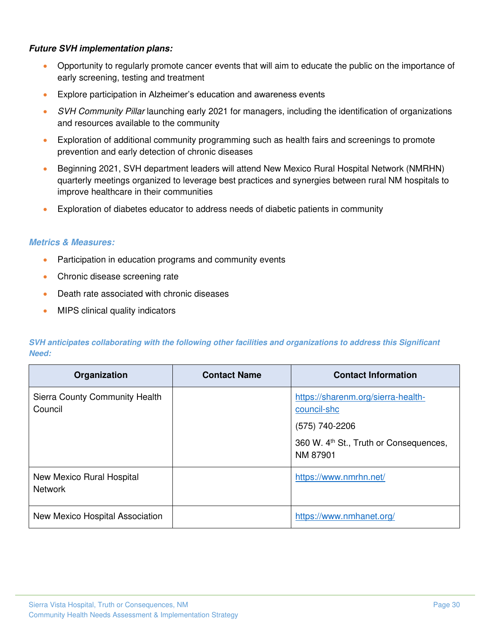#### *Future SVH implementation plans:*

- Opportunity to regularly promote cancer events that will aim to educate the public on the importance of early screening, testing and treatment
- Explore participation in Alzheimer's education and awareness events
- *SVH Community Pillar* launching early 2021 for managers, including the identification of organizations and resources available to the community
- Exploration of additional community programming such as health fairs and screenings to promote prevention and early detection of chronic diseases
- Beginning 2021, SVH department leaders will attend New Mexico Rural Hospital Network (NMRHN) quarterly meetings organized to leverage best practices and synergies between rural NM hospitals to improve healthcare in their communities
- Exploration of diabetes educator to address needs of diabetic patients in community

#### *Metrics & Measures:*

- Participation in education programs and community events
- Chronic disease screening rate
- Death rate associated with chronic diseases
- MIPS clinical quality indicators

*SVH anticipates collaborating with the following other facilities and organizations to address this Significant Need:* 

| Organization                                | <b>Contact Name</b> | <b>Contact Information</b>                                                                                                            |
|---------------------------------------------|---------------------|---------------------------------------------------------------------------------------------------------------------------------------|
| Sierra County Community Health<br>Council   |                     | https://sharenm.org/sierra-health-<br>council-shc<br>(575) 740-2206<br>360 W. 4 <sup>th</sup> St., Truth or Consequences,<br>NM 87901 |
| New Mexico Rural Hospital<br><b>Network</b> |                     | https://www.nmrhn.net/                                                                                                                |
| New Mexico Hospital Association             |                     | https://www.nmhanet.org/                                                                                                              |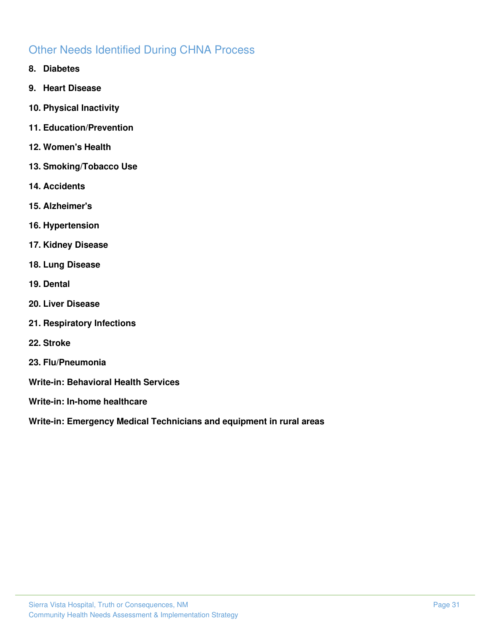## <span id="page-33-0"></span>Other Needs Identified During CHNA Process

- **8. Diabetes**
- **9. Heart Disease**
- **10. Physical Inactivity**
- **11. Education/Prevention**
- **12. Women's Health**
- **13. Smoking/Tobacco Use**
- **14. Accidents**
- **15. Alzheimer's**
- **16. Hypertension**
- **17. Kidney Disease**
- **18. Lung Disease**
- **19. Dental**
- **20. Liver Disease**
- **21. Respiratory Infections**
- **22. Stroke**
- **23. Flu/Pneumonia**
- **Write-in: Behavioral Health Services**
- **Write-in: In-home healthcare**

**Write-in: Emergency Medical Technicians and equipment in rural areas**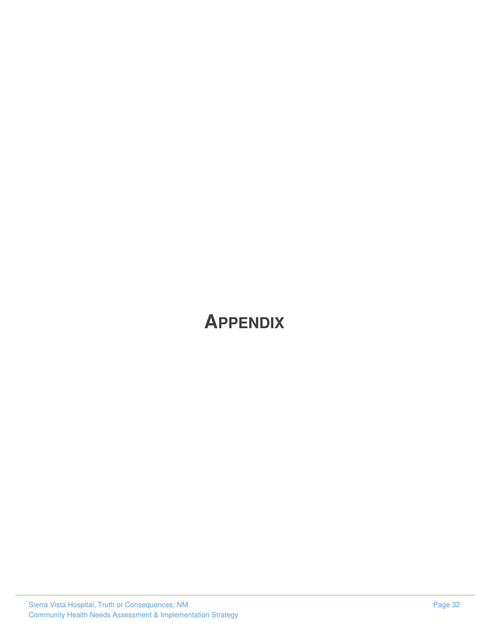# <span id="page-34-0"></span>**APPENDIX**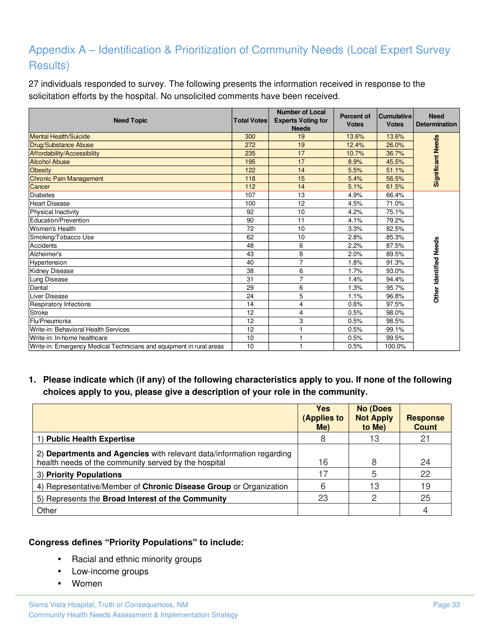## <span id="page-35-0"></span>Appendix A – Identification & Prioritization of Community Needs (Local Expert Survey Results)

27 individuals responded to survey. The following presents the information received in response to the solicitation efforts by the hospital. No unsolicited comments have been received.

| <b>Need Topic</b>                                                    | <b>Total Votes</b> | <b>Number of Local</b><br><b>Experts Voting for</b><br><b>Needs</b> | <b>Percent of</b><br><b>Votes</b> | <b>Cumulative</b><br><b>Votes</b> | <b>Need</b><br><b>Determination</b> |
|----------------------------------------------------------------------|--------------------|---------------------------------------------------------------------|-----------------------------------|-----------------------------------|-------------------------------------|
| <b>Mental Health/Suicide</b>                                         | 300                | 19                                                                  | 13.6%                             | 13.6%                             |                                     |
| <b>Drug/Substance Abuse</b>                                          | 272                | 19                                                                  | 12.4%                             | 26.0%                             |                                     |
| Affordability/Accessibility                                          | 235                | 17                                                                  | 10.7%                             | 36.7%                             |                                     |
| <b>Alcohol Abuse</b>                                                 | 195                | 17                                                                  | 8.9%                              | 45.5%                             |                                     |
| <b>Obesity</b>                                                       | 122                | 14                                                                  | 5.5%                              | 51.1%                             | Significant Needs                   |
| Chronic Pain Management                                              | 118                | 15                                                                  | 5.4%                              | 56.5%                             |                                     |
| Cancer                                                               | 112                | 14                                                                  | 5.1%                              | 61.5%                             |                                     |
| <b>Diabetes</b>                                                      | 107                | 13                                                                  | 4.9%                              | 66.4%                             |                                     |
| <b>Heart Disease</b>                                                 | 100                | 12                                                                  | 4.5%                              | 71.0%                             |                                     |
| Physical Inactivity                                                  | 92                 | 10                                                                  | 4.2%                              | 75.1%                             |                                     |
| Education/Prevention                                                 | 90                 | 11                                                                  | 4.1%                              | 79.2%                             |                                     |
| Women's Health                                                       | 72                 | 10                                                                  | 3.3%                              | 82.5%                             |                                     |
| Smoking/Tobacco Use                                                  | 62                 | 10                                                                  | 2.8%                              | 85.3%                             |                                     |
| Accidents                                                            | 48                 | 6                                                                   | 2.2%                              | 87.5%                             | Other Identified Needs              |
| Alzheimer's                                                          | 43                 | 8                                                                   | 2.0%                              | 89.5%                             |                                     |
| Hypertension                                                         | 40                 | $\overline{7}$                                                      | 1.8%                              | 91.3%                             |                                     |
| <b>Kidney Disease</b>                                                | 38                 | 6                                                                   | 1.7%                              | 93.0%                             |                                     |
| Lung Disease                                                         | 31                 | 7                                                                   | 1.4%                              | 94.4%                             |                                     |
| Dental                                                               | 29                 | 6                                                                   | 1.3%                              | 95.7%                             |                                     |
| Liver Disease                                                        | 24                 | 5                                                                   | 1.1%                              | 96.8%                             |                                     |
| <b>Respiratory Infections</b>                                        | 14                 | 4                                                                   | 0.6%                              | 97.5%                             |                                     |
| <b>Stroke</b>                                                        | 12                 | 4                                                                   | 0.5%                              | 98.0%                             |                                     |
| Flu/Pneumonia                                                        | 12                 | 3                                                                   | 0.5%                              | 98.5%                             |                                     |
| Write-in: Behavioral Health Services                                 | 12                 |                                                                     | 0.5%                              | 99.1%                             |                                     |
| Write-in: In-home healthcare                                         | 10                 |                                                                     | 0.5%                              | 99.5%                             |                                     |
| Write-in: Emergency Medical Technicians and equipment in rural areas | 10                 |                                                                     | 0.5%                              | 100.0%                            |                                     |

#### **1. Please indicate which (if any) of the following characteristics apply to you. If none of the following choices apply to you, please give a description of your role in the community.**

|                                                                                                                              | Yes<br>(Applies to<br>$Me$ ) | <b>No (Does</b><br><b>Not Apply</b><br>to Me) | <b>Response</b><br><b>Count</b> |
|------------------------------------------------------------------------------------------------------------------------------|------------------------------|-----------------------------------------------|---------------------------------|
| () Public Health Expertise                                                                                                   |                              | 13                                            | 21                              |
| 2) Departments and Agencies with relevant data/information regarding<br>health needs of the community served by the hospital | 16                           | 8                                             | 24                              |
| 3) Priority Populations                                                                                                      |                              | 5                                             | 22                              |
| 4) Representative/Member of Chronic Disease Group or Organization                                                            | 6                            | 13                                            | 19                              |
| 5) Represents the Broad Interest of the Community                                                                            | 23                           |                                               | 25                              |
| Other                                                                                                                        |                              |                                               | 4                               |

#### **Congress defines "Priority Populations" to include:**

- Racial and ethnic minority groups
- Low-income groups
- Women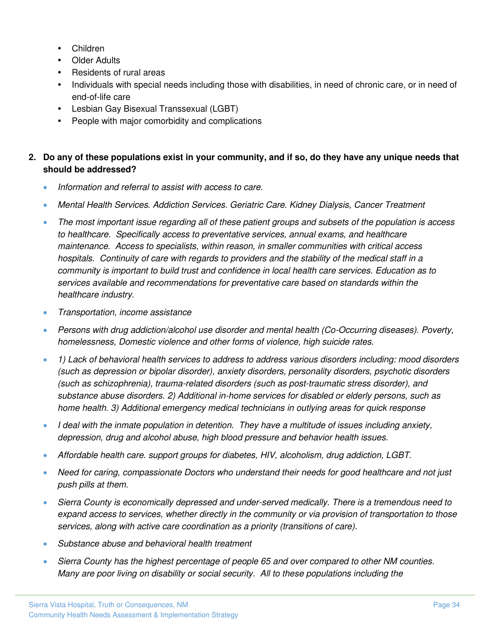- Children
- Older Adults
- Residents of rural areas
- Individuals with special needs including those with disabilities, in need of chronic care, or in need of end-of-life care
- Lesbian Gay Bisexual Transsexual (LGBT)
- People with major comorbidity and complications

#### **2. Do any of these populations exist in your community, and if so, do they have any unique needs that should be addressed?**

- *Information and referral to assist with access to care.*
- *Mental Health Services. Addiction Services. Geriatric Care. Kidney Dialysis, Cancer Treatment*
- *The most important issue regarding all of these patient groups and subsets of the population is access to healthcare. Specifically access to preventative services, annual exams, and healthcare maintenance. Access to specialists, within reason, in smaller communities with critical access hospitals. Continuity of care with regards to providers and the stability of the medical staff in a community is important to build trust and confidence in local health care services. Education as to services available and recommendations for preventative care based on standards within the healthcare industry.*
- *Transportation, income assistance*
- *Persons with drug addiction/alcohol use disorder and mental health (Co-Occurring diseases). Poverty, homelessness, Domestic violence and other forms of violence, high suicide rates.*
- *1) Lack of behavioral health services to address to address various disorders including: mood disorders (such as depression or bipolar disorder), anxiety disorders, personality disorders, psychotic disorders (such as schizophrenia), trauma-related disorders (such as post-traumatic stress disorder), and substance abuse disorders. 2) Additional in-home services for disabled or elderly persons, such as home health. 3) Additional emergency medical technicians in outlying areas for quick response*
- *I deal with the inmate population in detention. They have a multitude of issues including anxiety, depression, drug and alcohol abuse, high blood pressure and behavior health issues.*
- *Affordable health care. support groups for diabetes, HIV, alcoholism, drug addiction, LGBT.*
- *Need for caring, compassionate Doctors who understand their needs for good healthcare and not just push pills at them.*
- *Sierra County is economically depressed and under-served medically. There is a tremendous need to expand access to services, whether directly in the community or via provision of transportation to those services, along with active care coordination as a priority (transitions of care).*
- *Substance abuse and behavioral health treatment*
- *Sierra County has the highest percentage of people 65 and over compared to other NM counties. Many are poor living on disability or social security. All to these populations including the*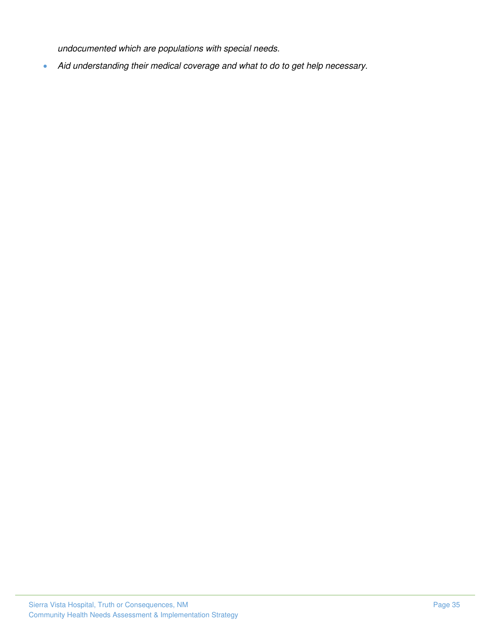*undocumented which are populations with special needs.* 

• *Aid understanding their medical coverage and what to do to get help necessary.*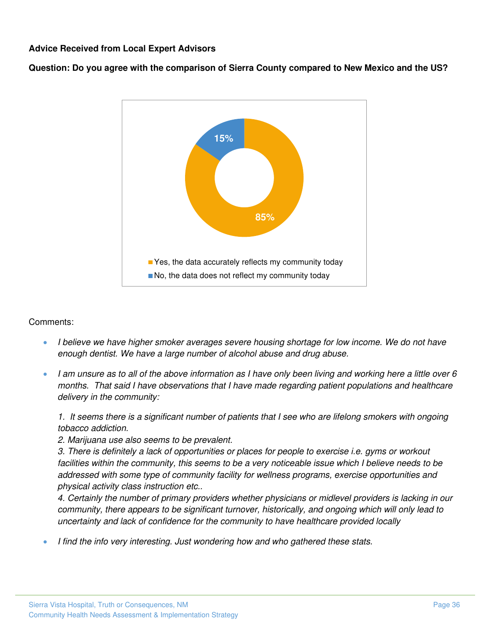#### **Advice Received from Local Expert Advisors**

**Question: Do you agree with the comparison of Sierra County compared to New Mexico and the US?**



#### Comments:

- *I believe we have higher smoker averages severe housing shortage for low income. We do not have enough dentist. We have a large number of alcohol abuse and drug abuse.*
- *I am unsure as to all of the above information as I have only been living and working here a little over 6 months. That said I have observations that I have made regarding patient populations and healthcare delivery in the community:*

1. It seems there is a significant number of patients that I see who are lifelong smokers with ongoing *tobacco addiction.* 

*2. Marijuana use also seems to be prevalent.* 

*3. There is definitely a lack of opportunities or places for people to exercise i.e. gyms or workout*  facilities within the community, this seems to be a very noticeable issue which I believe needs to be *addressed with some type of community facility for wellness programs, exercise opportunities and physical activity class instruction etc..* 

*4. Certainly the number of primary providers whether physicians or midlevel providers is lacking in our community, there appears to be significant turnover, historically, and ongoing which will only lead to uncertainty and lack of confidence for the community to have healthcare provided locally*

• *I find the info very interesting. Just wondering how and who gathered these stats.*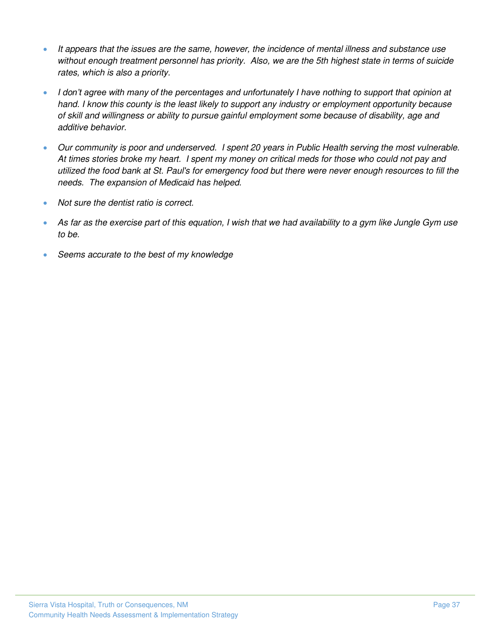- *It appears that the issues are the same, however, the incidence of mental illness and substance use without enough treatment personnel has priority. Also, we are the 5th highest state in terms of suicide rates, which is also a priority.*
- *I don't agree with many of the percentages and unfortunately I have nothing to support that opinion at hand. I know this county is the least likely to support any industry or employment opportunity because of skill and willingness or ability to pursue gainful employment some because of disability, age and additive behavior.*
- *Our community is poor and underserved. I spent 20 years in Public Health serving the most vulnerable. At times stories broke my heart. I spent my money on critical meds for those who could not pay and utilized the food bank at St. Paul's for emergency food but there were never enough resources to fill the needs. The expansion of Medicaid has helped.*
- *Not sure the dentist ratio is correct.*
- *As far as the exercise part of this equation, I wish that we had availability to a gym like Jungle Gym use to be.*
- *Seems accurate to the best of my knowledge*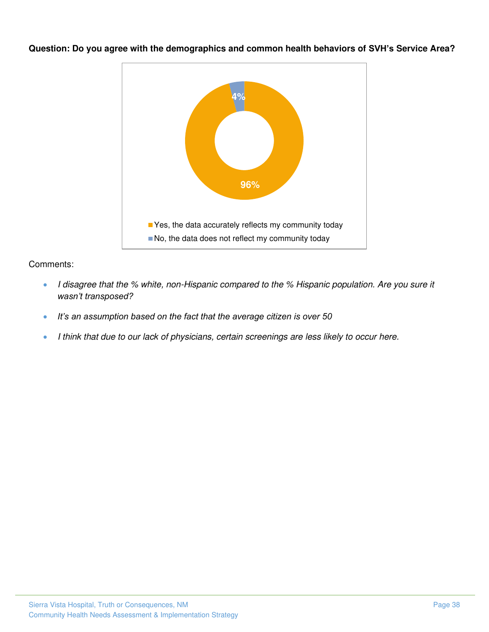

**Question: Do you agree with the demographics and common health behaviors of SVH's Service Area?** 

- *I disagree that the % white, non-Hispanic compared to the % Hispanic population. Are you sure it wasn't transposed?*
- *It's an assumption based on the fact that the average citizen is over 50*
- *I think that due to our lack of physicians, certain screenings are less likely to occur here.*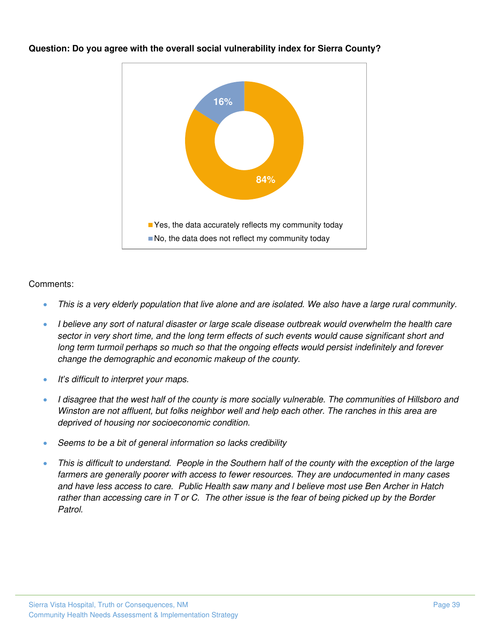

**Question: Do you agree with the overall social vulnerability index for Sierra County?** 

- *This is a very elderly population that live alone and are isolated. We also have a large rural community.*
- *I believe any sort of natural disaster or large scale disease outbreak would overwhelm the health care sector in very short time, and the long term effects of such events would cause significant short and long term turmoil perhaps so much so that the ongoing effects would persist indefinitely and forever change the demographic and economic makeup of the county.*
- *It's difficult to interpret your maps.*
- *I disagree that the west half of the county is more socially vulnerable. The communities of Hillsboro and Winston are not affluent, but folks neighbor well and help each other. The ranches in this area are deprived of housing nor socioeconomic condition.*
- *Seems to be a bit of general information so lacks credibility*
- *This is difficult to understand. People in the Southern half of the county with the exception of the large farmers are generally poorer with access to fewer resources. They are undocumented in many cases and have less access to care. Public Health saw many and I believe most use Ben Archer in Hatch rather than accessing care in T or C. The other issue is the fear of being picked up by the Border Patrol.*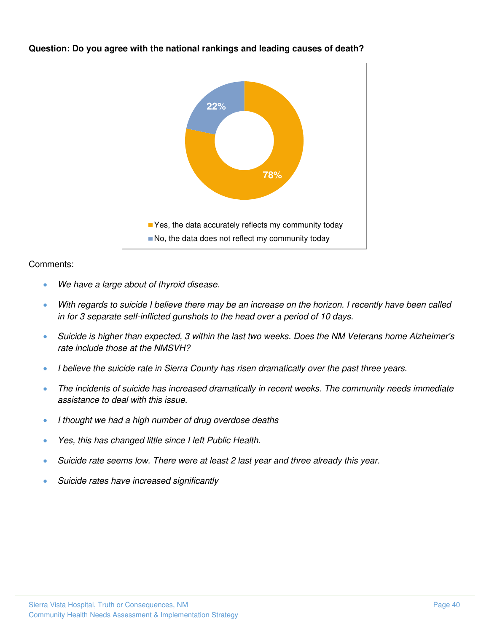

**Question: Do you agree with the national rankings and leading causes of death?** 

- *We have a large about of thyroid disease.*
- *With regards to suicide I believe there may be an increase on the horizon. I recently have been called in for 3 separate self-inflicted gunshots to the head over a period of 10 days.*
- *Suicide is higher than expected, 3 within the last two weeks. Does the NM Veterans home Alzheimer's rate include those at the NMSVH?*
- *I believe the suicide rate in Sierra County has risen dramatically over the past three years.*
- *The incidents of suicide has increased dramatically in recent weeks. The community needs immediate assistance to deal with this issue.*
- *I thought we had a high number of drug overdose deaths*
- *Yes, this has changed little since I left Public Health.*
- *Suicide rate seems low. There were at least 2 last year and three already this year.*
- *Suicide rates have increased significantly*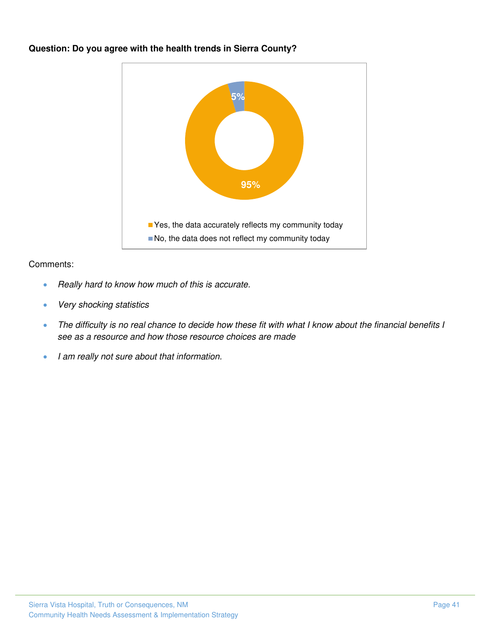

#### **Question: Do you agree with the health trends in Sierra County?**

- *Really hard to know how much of this is accurate.*
- *Very shocking statistics*
- *The difficulty is no real chance to decide how these fit with what I know about the financial benefits I see as a resource and how those resource choices are made*
- *I am really not sure about that information.*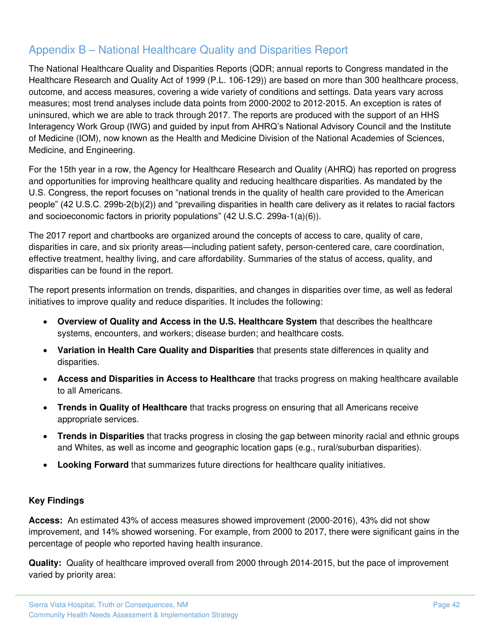## <span id="page-44-0"></span>Appendix B – National Healthcare Quality and Disparities Report

The National Healthcare Quality and Disparities Reports (QDR; annual reports to Congress mandated in the Healthcare Research and Quality Act of 1999 (P.L. 106-129)) are based on more than 300 healthcare process, outcome, and access measures, covering a wide variety of conditions and settings. Data years vary across measures; most trend analyses include data points from 2000-2002 to 2012-2015. An exception is rates of uninsured, which we are able to track through 2017. The reports are produced with the support of an HHS Interagency Work Group (IWG) and guided by input from AHRQ's National Advisory Council and the Institute of Medicine (IOM), now known as the Health and Medicine Division of the National Academies of Sciences, Medicine, and Engineering.

For the 15th year in a row, the Agency for Healthcare Research and Quality (AHRQ) has reported on progress and opportunities for improving healthcare quality and reducing healthcare disparities. As mandated by the U.S. Congress, the report focuses on "national trends in the quality of health care provided to the American people" (42 U.S.C. 299b-2(b)(2)) and "prevailing disparities in health care delivery as it relates to racial factors and socioeconomic factors in priority populations" (42 U.S.C. 299a-1(a)(6)).

The 2017 report and chartbooks are organized around the concepts of access to care, quality of care, disparities in care, and six priority areas—including patient safety, person-centered care, care coordination, effective treatment, healthy living, and care affordability. Summaries of the status of access, quality, and disparities can be found in the report.

The report presents information on trends, disparities, and changes in disparities over time, as well as federal initiatives to improve quality and reduce disparities. It includes the following:

- **Overview of Quality and Access in the U.S. Healthcare System** that describes the healthcare systems, encounters, and workers; disease burden; and healthcare costs.
- **Variation in Health Care Quality and Disparities** that presents state differences in quality and disparities.
- **Access and Disparities in Access to Healthcare** that tracks progress on making healthcare available to all Americans.
- **Trends in Quality of Healthcare** that tracks progress on ensuring that all Americans receive appropriate services.
- **Trends in Disparities** that tracks progress in closing the gap between minority racial and ethnic groups and Whites, as well as income and geographic location gaps (e.g., rural/suburban disparities).
- **Looking Forward** that summarizes future directions for healthcare quality initiatives.

#### **Key Findings**

**Access:** An estimated 43% of access measures showed improvement (2000-2016), 43% did not show improvement, and 14% showed worsening. For example, from 2000 to 2017, there were significant gains in the percentage of people who reported having health insurance.

**Quality:** Quality of healthcare improved overall from 2000 through 2014-2015, but the pace of improvement varied by priority area: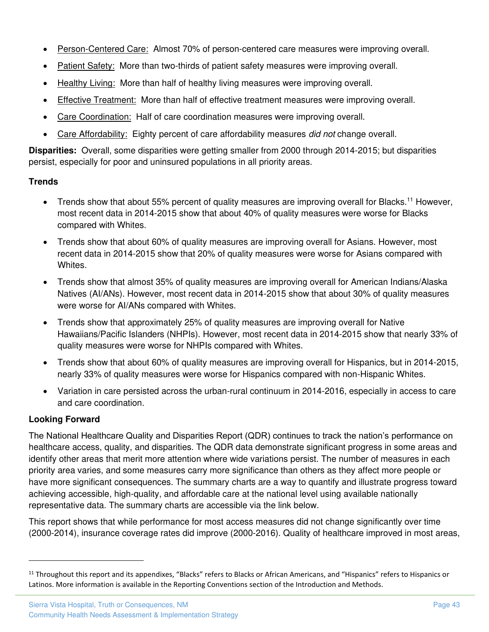- Person-Centered Care: Almost 70% of person-centered care measures were improving overall.
- Patient Safety: More than two-thirds of patient safety measures were improving overall.
- Healthy Living: More than half of healthy living measures were improving overall.
- Effective Treatment: More than half of effective treatment measures were improving overall.
- Care Coordination: Half of care coordination measures were improving overall.
- Care Affordability: Eighty percent of care affordability measures *did not* change overall.

**Disparities:** Overall, some disparities were getting smaller from 2000 through 2014-2015; but disparities persist, especially for poor and uninsured populations in all priority areas.

#### **Trends**

- Trends show that about 55% percent of quality measures are improving overall for Blacks.<sup>11</sup> However, most recent data in 2014-2015 show that about 40% of quality measures were worse for Blacks compared with Whites.
- Trends show that about 60% of quality measures are improving overall for Asians. However, most recent data in 2014-2015 show that 20% of quality measures were worse for Asians compared with Whites.
- Trends show that almost 35% of quality measures are improving overall for American Indians/Alaska Natives (AI/ANs). However, most recent data in 2014-2015 show that about 30% of quality measures were worse for AI/ANs compared with Whites.
- Trends show that approximately 25% of quality measures are improving overall for Native Hawaiians/Pacific Islanders (NHPIs). However, most recent data in 2014-2015 show that nearly 33% of quality measures were worse for NHPIs compared with Whites.
- Trends show that about 60% of quality measures are improving overall for Hispanics, but in 2014-2015, nearly 33% of quality measures were worse for Hispanics compared with non-Hispanic Whites.
- Variation in care persisted across the urban-rural continuum in 2014-2016, especially in access to care and care coordination.

#### **Looking Forward**

The National Healthcare Quality and Disparities Report (QDR) continues to track the nation's performance on healthcare access, quality, and disparities. The QDR data demonstrate significant progress in some areas and identify other areas that merit more attention where wide variations persist. The number of measures in each priority area varies, and some measures carry more significance than others as they affect more people or have more significant consequences. The summary charts are a way to quantify and illustrate progress toward achieving accessible, high-quality, and affordable care at the national level using available nationally representative data. The summary charts are accessible via the link below.

This report shows that while performance for most access measures did not change significantly over time (2000-2014), insurance coverage rates did improve (2000-2016). Quality of healthcare improved in most areas,

<sup>&</sup>lt;sup>11</sup> Throughout this report and its appendixes, "Blacks" refers to Blacks or African Americans, and "Hispanics" refers to Hispanics or Latinos. More information is available in the Reporting Conventions section of the Introduction and Methods.